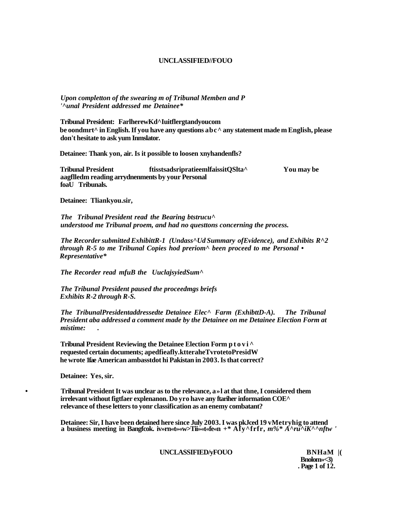Upon completton of the swearing m of Tribunal Memben and P 'Aunal President addressed me Detainee\*

Tribunal President: FarlherewKd^Iuitflergtandyoucom be oondmrt<sup> $\wedge$ </sup> in English. If you have any questions ab c  $\wedge$  any statement made m English, please don't hesitate to ask yum Inmslator.

Detainee: Thank yon, air. Is it possible to loosen xnyhandenfls?

**Tribunal President** ftisstsadsripratieemlfaissitQSlta^ You may be aagfledm reading arrydnenments by your Personal foaU Tribunals.

Detainee: Tliankvou.sir,

The Tribunal President read the Bearing bistrucu<sup> $\wedge$ </sup> understood me Tribunal proem, and had no questtons concerning the process.

The Recorder submitted ExhibittR-1 (Undass  $\sim$  Ud Summary of Evidence), and Exhibits R $\sim$ 2 through R-5 to me Tribunal Copies hod preriom<sup> $\wedge$ </sup> been proceed to me Personal  $\bullet$ Representative\*

The Recorder read mfuB the UuclajsviedSum $\wedge$ 

The Tribunal President paused the proceedmgs briefs Exhibits R-2 through R-S.

The TribunalPresidentaddressedte Detainee Elec^ Farm (ExhibttD-A). **The Tribunal** President aba addressed a comment made by the Detainee on me Detainee Election Form at mistime:

Tribunal President Reviewing the Detainee Election Form p t o v i ^ requested certain documents: apedfieafly.ktteraheTyrotetoPresidW he wrote 1 fae American ambasstdot hi Pakistan in 2003. Is that correct?

Detainee: Yes, sir.

Tribunal President It was unclear as to the relevance, a > 1 at that thne, I considered them irrelevant without figtfaer explenanon. Do yro have any ftariher information COE^ relevance of these letters to yonr classification as an enemy combatant?

Detainee: Sir, I have been detained here since July 2003. I was pkJced 19 vMetryhig to attend a business meeting in Bangfcok. iv>rn<br/><br/>sw>Tii><t<fe<n +\* Afy^frfr,  $m\%^*$  A^ru^iK^^nftw '

UNCLASSIFIED/yFOUO

**BNHaM** I( Bnolom ><3) . Page 1 of 12.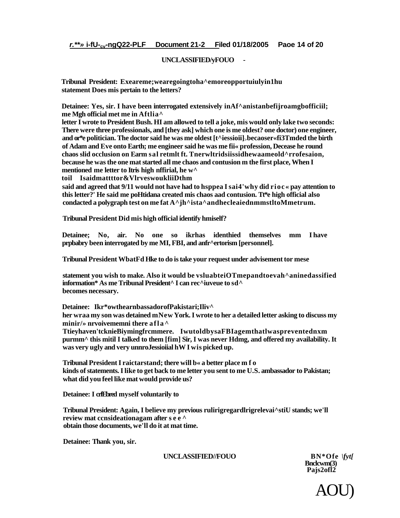# r.\*\*» i-fU- $_{\rm ev}$ -ngQ22-PLF Document 21-2 Filed 01/18/2005 Paoe 14 of 20

# UNCLASSIFIED/vFOUO

Tribunal President: Exeareme: weare going to ha ^emore opportuiul vin 1 hu statement Does mis pertain to the letters?

Detainee: Yes, sir, I have been interrogated extensively in Af^anistanbefiiroamgbofficiil; me Mgh official met me in Aftlia<sup>^</sup>

letter I wrote to President Bush. HI am allowed to tell a joke, mis would only lake two seconds: There were three professionals, and [they ask] which one is me oldest? one doctor) one engineer, and or<sup>\*</sup>e politician. The doctor said he was me oldest [t^iessioii]<sub>></sub>becaoser«fi3Tmded the birth of Adam and Eve onto Earth; me engineer said he was me fii« profession, Decease he round chaos slid occlusion on Earm sal retmlt ft. Tnerwltridsiissidhewaameold^rrofesaion, because he was the one mat started all me chaos and contusion m the first place, When I mentioned me letter to Itris high nffirial, he w<sup>^</sup>

toil Isaidmattttor&VlrveswoukliiDthm

said and agreed that 9/11 would not have had to hsppea I sai4' why did rioc « pay attention to this letter?' He said me poHtidana created mis chaos aad contusion. The high official also condacted a polygraph test on me fat A 'jh' ista ' and hecleaied nmmstl to Mmetrum.

Tribunal President Did mis high official identify hmiself?

Detainee; No, air. No one so ikrhas identhied themselves mm I have prpbabry been interrogated by me MI, FBI, and anfr^ertorism [personnel].

Tribunal President WbatFd Hke to do is take your request under advisement tor mese

statement you wish to make. Also it would be vsluabteiOTmepandtoevah^aninedassified information\* As me Tribunal President^ I can rec^iuveue to sd^ becomes necessary.

Detainee: Ikr\*owthearnbassadorofPakistari;Iliv^

her wraa my son was detained mNew York. I wrote to her a detailed letter asking to discuss my minir/» nrvoivememni there a fl a  $\wedge$ 

Ttieyhaven'tcknieBiymingfrcmmere. IwutoldbysaFBIagemthatlwaspreventednxm purmm<sup> $\wedge$ </sup> this mitil I talked to them [fim] Sir, I was never Hdmg, and offered my availability. It was very ugly and very unnroJessioiial hW I wis picked up.

Tribunal President I raictarstand; there will b« a better place m f o kinds of statements. I like to get back to me letter you sent to me U.S. ambassador to Pakistan; what did you feel like mat would provide us?

Detainee: I crfEbred myself voluntarily to

Tribunal President: Again, I believe my previous rulirigregardlrigrelevai^stiU stands; we'll review mat consideation agam after s e e ^ obtain those documents, we'll do it at mat time.

Detainee: Thank you, sir.

UNCLASSIFIED//FOUO

 $BN*Ofe$  |fyt[ Bnclcwm(3) Pajs2of12

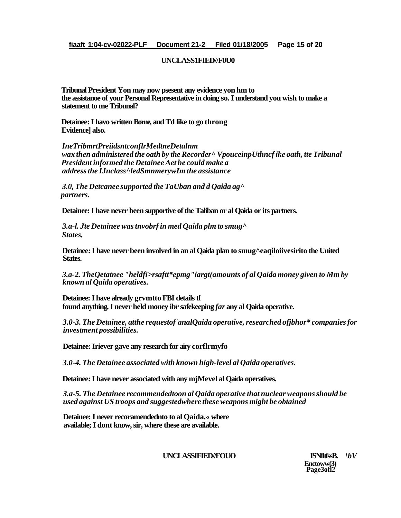# **fiaaft 1:04-cv-02022-PLF Document 21-2 Filed 01/18/2005 Page 15 of 20**

# **UNCLASS1FIED//F0U0**

**Tribunal President Yon may now psesent any evidence yon hm to the assistanoe of your Personal Representative in doing so. I understand you wish to make a statement to me Tribunal?** 

**Detainee: I havo written Borne, and Td like to go throng Evidence] also.** 

*IneTribmrtPreiidsntconflrMedtneDetalnm wax then administered the oath by the Recorder^ VpouceinpUthncf ike oath, tte Tribunal President informed the Detainee Aet he could make a address the IJnclass^ledSmnmerywIm the assistance* 

*3.0, The Detcanee supported the TaUban and d Qaida ag^ partners.* 

**Detainee: I have never been supportive of the Taliban or al Qaida or its partners.** 

*3.a-l. Jte Detainee was tnvobrf in med Qaida plm to smug^ States,* 

**Detainee: I have never been involved in an al Qaida plan to smug^eaqiloiivesirito the United States.** 

*3.a-2. TheQetatnee "heldfi>rsaftt\*epmg"iargt(amounts of al Qaida money given to Mm by known al Qaida operatives.* 

**Detainee: I have already grvmtto FBI details tf found anything. I never held money ibr safekeeping** *far* **any al Qaida operative.** 

*3.0-3. The Detainee, atthe requestof'analQaida operative, researched ofjbhor\* companies for investment possibilities.* 

**Detainee: Iriever gave any research for airy corflrmyfo** 

*3.0-4. The Detainee associated with known high-level al Qaida operatives.* 

**Detainee: I have never associated with any mjMevel al Qaida operatives.** 

*3.a-5. The Detainee recommendedtoon al Qaida operative that nuclear weapons should be used against US troops and suggestedwhere these weapons might be obtained* 

**Detainee: I never recoramendednto to al Qaida,« where available; I dont know, sir, where these are available.** 

**UNCLASSIFIED//FOUO ISNfltfssB.** *\bV* 

**Enctoww(3) Page3ofl2**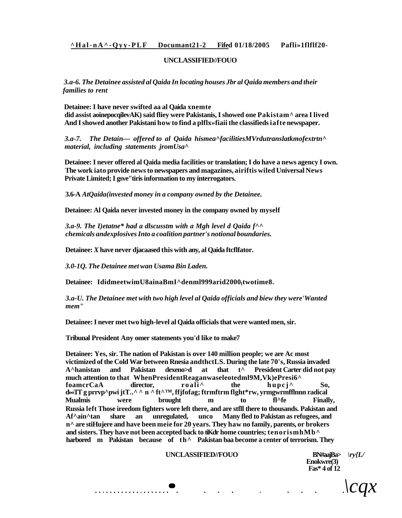#### $^{\wedge}$ Hal-nA $^{\wedge}$ -Ovv-PLF Documant21-2 Fifed 01/18/2005 Pafli»1flflf20-

#### **UNCLASSIFIED//FOUO**

3.a-6. The Detainee assisted al Oaida In locating houses Jbr al Oaida members and their families to rent

Detainee: I have never swifted aa al Qaida xnemte did assist aoinepocqilevAK) said fliev were Pakistanis, I showed one Pakistam ^ area I lived And I showed another Pakistani how to find a plflx»fiaii the classifieds iafte newspaper.

The Detain- offered to al Qaida hismea^facilitiesMVrdutranslatkmofextrtn^  $3.a-7.$ material, including statements jromUsa^

Detainee: I never offered al Qaida media facilities or translation; I do have a news agency I own. The work iato provide news to newspapers and magazines, airiftis wiled Universal News Private Limited; I gsve"tiris information to my interrogators.

3.6-A AtOaida(invested money in a company owned by the Detainee.

Detainee: Al Qaida never invested money in the company owned by myself

3.a-9. The I)etatne\* had a dlscusstm with a Mgh level d Qaida  $f^{\wedge \wedge}$ chemicals and explosives Into a coalition partner's notional boundaries.

Detainee: X have never djacaased this with any, al Qaida ftcflfator.

3.0-10. The Detainee met wan Usama Bin Laden.

Detainee: IdidmeetwimU8ainaBmI^denml999arid2000<sub>1</sub>twotime8.

3.a-U. The Detainee met with two high level al Oaida officials and biew they were 'Wanted' mem"

Detainee: I never met two high-level al Qaida officials that were wanted men, sir.

Tribunal President Any omer statements you'd like to make.

Detainee: Yes, sir. The nation of Pakistan is over 140 million people; we are Ac most victimized of the Cold War between Rnesia and thct LS. During the late 70's, Russia invaded A^hanistan and Pakistan dexeno>d **at** that  $t^{\Lambda}$ **President Carter did not pay** much attention to that WhenPresidentReaganwaseleotedml9M, Vk)ePresi6^ foamcrCaA director, roali<sup>^</sup> hupci<sup>^</sup> the So, d XTT g prrvp^pwi jtT..^ ^ n ^ ft^™, ffjfofag; ftrmftrm flght\*rw, yrmgwrmfflnnn radical **Mualmis** brought fl^fe were m to **Finally.** Russia left Those ireedom fighters wore left there, and are stfll there to thousands. Pakistan and Af^ain^tan share  $a_n$ unregulated. unco Many fled to Pakistan as refugees, and n<sup> $\land$ </sup> are stiHujere and have been meie for 20 years. They haw no family, parents, or brokers and sisters. They have not been accepted back to tikdr home countries; tenorismhMb<sup> $\wedge$ </sup> harbored m Pakistan because of th<sup>^</sup> Pakistan baa become a center of terrorism. They

#### UNCLASSIFIED//FOUO

BN#aajBa>  $\vert ry/L \rangle$ Enokwre(3)  $\text{Fast}^*4$  of 12

 $\big\setminus CQX$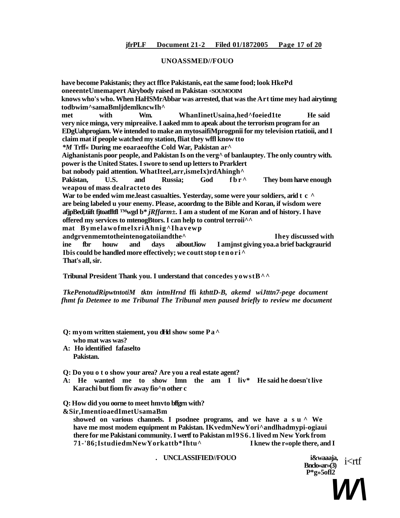#### **jfrPLF Document 21-2 Filed 01/1872005 Page 17 of 20**

#### **UNOASSMED//FOUO**

**have become Pakistanis; they act fflce Pakistanis, eat the same food; look HkePd oneeenteUmemapert Airybody raised m Pakistan <SOUMOOIM knows who's who. When HaHSMrAbbar was arrested, that was the Art time mey had airytinng todbwim^samaBmljdemlkncwIh^ met with Wm. WhanIinetUsaina,hed^foeied1te He said very nice minga, very mipreaiive. I aaked mm to apeak about the terrorism program for an EDgUahprogiam. We intended to make an mytosaifiMprogpnii for my television rtatioii, and I claim mat if people watched my station, fliat they wffl know tto**  *\*M* **Trff« During me eoaraeofthe Cold War, Pakistan ar^ Aighanistanis poor people, and Pakistan Is on the verg^ of banlauptey. The only country with. power is the United States. I swore to send up letters to Prarklert bat nobody paid attention. WhatIteel,arr,ismeIx)rdAhingh^**  Pakistan, U.S. and Russia; God fbr<sup> $\wedge$ </sup> They bom harve enough **weapou of mass dealracteto des**  War to be ended wim me.least casualties. Yesterday, some were your soldiers, arid t c ^ **are being labeled u your enemy. Please, acoordmg to the Bible and Koran, if wisdom were afjpBed|.tiift fjtoatfftfl ™wgd b\*** *jRffarm±.* **I am a student of me Koran and of history. I have offered my services to mtenogBtors. I can help to control terroii^^ mat BymelawofmelxriAhnig^Ihavewp andgrvenmemtotheintenogatoiiandthe^ Ihey discussed with ine fbr houw and days aiboutJiow I amjnst giving yoa.a brief backgraurid Ibis could be handled more effectively; we coutt stop tenori^ That's all, sir.** 

**Tribunal President Thank you. I understand that concedes yowstB^^** 

*TkePenotudRipwtntotiM tktn intmHrnd* **ffi** *kthttD-B, akemd wiJtttn7-pege document fhmt fa Detemee to me Tribunal The Tribunal men paused briefly to review me document* 

- **Q: myom written staiement, you dHd show some Pa^ who mat was was?**
- **A: Ho identified fafaselto Pakistan.**

**Q: Do you ot o show your area? Are you a real estate agent?** 

**A: He wanted me to show Imn the am I liv\* He said he doesn't live Karachi but fiom fiv away fio^n other c** 

**Q: How did you oorne to meet hmvto bffgrn with?** 

**&Sir,ImentioaedImetUsamaBm** 

**showed on various channels. I psodnee programs, and we have a su ^ We have me most modem equipment m Pakistan. IKvedmNewYori^andlhadmypi-ogiaui there for me Pakistani community. I wertf to Pakistan ml9S6.1 lived m New York from 71-'86;IstudiedmNewYorkattb\*Ihtu^ I knew the r«ople there, and I** 

**. UNCLASSIFIED//FOUO** 

**Bnclo«ar»(3) P\*g»5ofl2**   $i$ &waaaja,  $i$  <rtf **W\**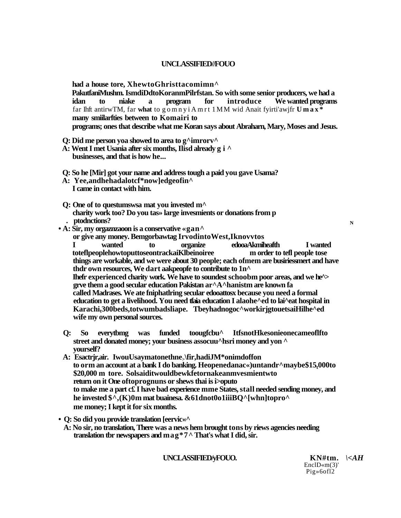had a house tore, XhewtoGhristtacomimn^

PakutfaniMushm. IsmdiDdtoKoranmPilrfstan. So with some senior producers, we had a **idan niake** for introduce We wanted programs  $\mathbf{f}$ program  $\mathbf{a}$ far Ihft antirwTM, far what to gomny i Amrt 1 MM wid Anait fyirti'awjfr  $U$ m a  $x^*$ many smiilarfties between to Komairi to programs; ones that describe what me Koran says about Abraharn, Mary, Moses and Jesus.

Q: Did me person yoa showed to area to  $g^{\Lambda}$ imrory<sup> $\Lambda$ </sup>

- A: Went I met Usania after six months, Ilisd already g i ^ businesses, and that is how he...
- O: So he [Mir] got vour name and address tough a paid vou gave Usama?
- A: Yee,andhehadalotcf\*nowledgeofin^ I came in contact with him.
- O: One of to questumswsa mat you invested m<sup>^</sup> charity work too? Do you tas» large invesmients or donations from p . ptodnctions?
- A: Sir, my orgaznzaoon is a conservative «gan  $\wedge$ 
	- or give any money. Bemgorbawtag Irvodinto West, Iknovytos

wanted  $f_{\Omega}$ organize edooaAkmiheafth **I** wanted Т toteflpeoplehowtoputtoseontrackaiKlbeinoiree m order to tefl people tose things are workable, and we were about 30 people; each of mem are businessmert and have thdr own resources, We dart aakpeopfe to contribute to 1n^ Thefr experienced charity work. We have to soundest schoobm poor areas, and we he<sup> $\sim$ </sup> grve them a good secular education Pakistan ar ^A ^hanistm are known fa called Madrases. We ate finiphathring secular edocattosx because you need a formal education to get a livelihood. You need thia education I alaohe^ed to lai^eat hospital in Karachi<sub>t</sub>300beds,totwumbadsliape. Tbeyhadnogoc^workirjgtouetsaiHilhe^ed wife my own personal sources.

- toougfcbu<sup>^</sup> **ItfsnotHkesonieonecameoflfto** O: So everythmg was funded street and donated money; your business assocuu^hsri money and yon ^ vourself?
- A: Esactrir, air. IwouUsaymatonethne, fir, hadiJM\*onimdoffon to orm an account at a bank I do banking. Heopenedanac«)untandr^maybe\$15,000to \$20,000 m tore. Solsaiditwouldbewkfetornakeanmyesmientwto return on it One of top rognuns or shews thai is isoputo to make me a part c£ I have bad experience mme States, stall needed sending money, and he invested  $\hat{\mathcal{S}}^{\wedge}$ . (K)0m mat buainesa. & 61dnot0o1iiiBO $\wedge$ [whn]topro $\wedge$ me money; I kept it for six months.
- Q: So did you provide translation [eervic  $\sim$ 
	- A: No sir, no translation, There was a news hem brought tons by riews agencies needing translation the newspapers and  $m$  ag  $*7$  ^ That's what I did, sir.

UNCLASSIFIED/yFOUO.

 $\overline{\mathbf{N}}$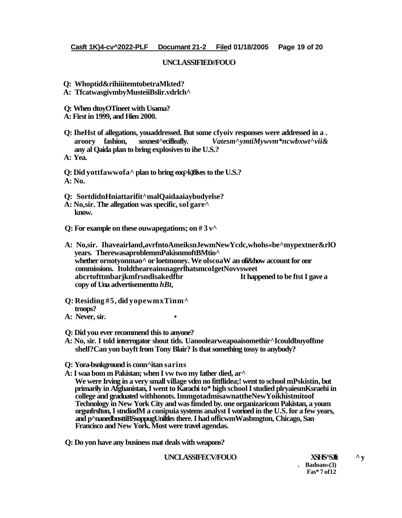#### Casft 1K)4-cv^2022-PLF Documant 21-2 Filed 01/18/2005 Page 19 of 20

#### **UNCLASSIFIED//FOUO**

- O: Whoptid&rihiiitemtobetraMkted?
- A: TfcatwasgivmbyMusteiiBslir.vdrlch^
- **O: When dtovOTineet with Usama?**

A: First in 1999, and Hien 2000.

- O: Ihe Hst of allegations, youaddressed. But some cfyoiv responses were addressed in a. aroory fashion. soxnest^ecifleafly. Vatesm^ymtiMywvm\*ncwbxwt^vii& any al Qaida plan to bring explosives to ihe U.S.?
- A: Yea.
- Q: Did yottfawwofa $\wedge$  plan to bring exceptions to the U.S.?
- $A: No.$
- Q: SortdidnHniattarifit^malQaidaaiaybodyelse?
- A: No, sir. The allegation was specific, sol gare<sup> $\wedge$ </sup> know.
- Q: For example on these ouwapegations; on #3  $v^{\wedge}$
- A: No,sir. Ihaveairland, avrfnto Ameiksn Jewm New Ycdc, who hs «be^mypextner & rlO years. TherewasaproblemmPakisnmoftBMtio^ whether ornotyonmao^ or loetmoney. We olscoaW an ofi&how account for onr commissions. ItoldtheareainsnagerlhatsmcoIgetNovvsweet abcrtofttmbarjkmfrsndlsakedfbr It happened to be ftst I gave a copy of Una advertisement to hBt,
- Q: Residing  $#5$ , did yopewmxTinm<sup> $\wedge$ </sup> troops?
- A: Never, sir.

#### Q: Did you ever recommend this to anyone?

A: No, sir. I told interrogator shout tids. Uanoolearweapoaisomethir^Icouldbuyoffme shelf? Can yon bayft from Tony Blair? Is that something tossy to anybody?

 $\bullet$ 

- Q: Yora-bsnkground is conn^itan sarins
- A: I waa bom m Pakistan; when I vw two my father died, ar<sup>^</sup> We were Irving in a very small village vdm no fittflidea:! went to school mPskistin, but primarily in Afghanistan, I went to Karachi to\* high school I studied plryaiesmKsraehi in college and graduated withhonots. ImmgotadmisawnattheNewYoikhistmitoof Technology in New York City and was fimded by, one organizaricom Pakistan, a youm orgsnfrsfton, I stndiodM a conipuia systems analyst I worloed in the U.S. for a few years, and p^nanedbnsttiBSsoppugUniltles there. I had officwmWasbmgton, Chicago, San Francisco and New York. Most were travel agendas.

Q: Do yon have any business mat deals with weapons?

#### **UNCLASSIFECV/FOUO**

Fas\*7 of 12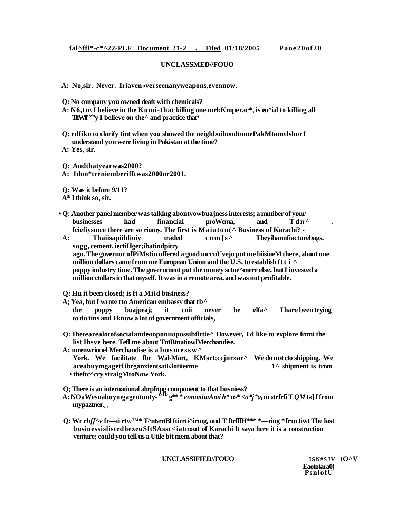#### **UNCLASSMED//FOUO**

A: No, sir. Never. Iriaven«verseenanyweapons, even now.

- Q: No company you owned deaft with chemicals?
- A: N6,tn\ I believe in the Komi-that killing one mrkKmperac\*, is eo^ial to killing all THWH ""y I believe on the " and practice that"
- Q: rdfiko to clarify tint when you showed the neighboihoodtomePakMtamvlshorJ understand von were living in Pakistan at the time?

A: Yes, sir.

**Q: Andthatyearwas2000?** 

A: Idon\*treniemberifftwas2000or2001.

O: Was it before 9/11?

 $A^*$  I think so, sir.

• O: Another panel member was talking abontyowbuajness interests; a mmiber of your **businesses** financial proWema, Tdn^ had and fciefivsmce there are so riumy. The first is Maiaton ( $^{\wedge}$  Business of Karachi? -

**Thaiisapiiblioiy**  $com{s^{\wedge}}$ Theyihannfiacturebags,  $A$ : traded sogg, cement, iertiHger; ibatindpitry ago. The governor of PiMstin offered a good mccnUvejo put me biisiueM there, about one

million dollars came from me European Union and the U.S. to establish ft t i ^ poppy industry time. The government put the money sctne^mere else, but I invested a million ctollars in that myself. It was in a remote area, and was not profitable.

O: Hu it been closed; is ft a Miid business?

A: Yea, but I wrote tto American embassy that tb<sup>^</sup>

the buaipeai:  $\mathbf{it}$ cnii he  $elfa^{\wedge}$ I hare been trying poppy never to do tins and I know a lot of government officials,

- Q: Ihetearealotofsocialandeooponiiopossibflttie^ However, Td like to explore fromi the list Ihsve here. Tefl me about TntBtnatiowlMerchandise.
- A: mrenwrionel Merchandise is a busmessw<sup>^</sup>

York. We facilitate fbr Wal-Mart, KMsrt;ccinr»ar<sup>^</sup> We do not cto shipping. We areabuymgagetf ibrganxientsaiKlotiierme  $1^{\wedge}$  shipment is trom • theftc^ccv straigMtoNow York.

- Q; There is an international ahrpfrtpg component to that busniess?
- A: NOaWesnabuymgagentonty-  $W_{\text{LB}}$  g\*\* \* enmmimAmi  $h^*$  px\* <a\*j\*a<sub>l</sub> m «trfrfi T OM t«]|f from  $m$ ypaztner.
- O: Wr rhff^y fr—ti rtw<sup>TM\*</sup> T^ntvrtBl ftirrti^irmg, and T ftrfffH<sup>\*\*\*</sup> \*—ring \*frm tiwt The last businessislistedhezeuSftSAssc<iatnout of Karachi It saya here it is a construction venture; could you tell us a Utile bit mem about that?

**UNCLASSIFIED//FOUO** 

 $ISN#SJV$  to  $V$ Eaototara0 PsnlofU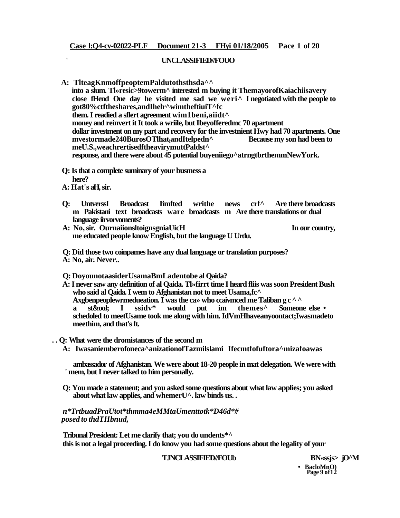# Case 1:04-cv-02022-PLF Document 21-3 FHvi 01/18/2005 Pace 1 of 20

#### UNCLASSIFIED//FOUO

A: TiteagKnmoffpeoptemPaldutothsthsda^^ into a slum. Tl»resic>9towerm^ interested m buying it ThemayorofKaiachiisavery close fHend One day he visited me sad we werd.<sup>^</sup> I negotiated with the people to got80% ctf the shares, and Thelr ~ wim the ftiuiT ~ fc them. I readied a sflert agreement wim1beni,aiidt<sup>^</sup> money and reinvert it It took a wrille, but Ibeyofferedmc 70 apartment dollar investment on my part and recovery for the investnient Hwy had 70 apartments. One mvestormade240BurosOTlhatandItelpedn^ Because my son had been to meU.S., weach rertised f the aviry mutt Paldst<sup>^</sup> response, and there were about 45 potential buyeniiego^atrngtbrthemmNewYork.

O: Is that a complete suminary of your busmess a here?

A: Hat's aH, sir.

 $\sqrt{ }$ 

- **Broadcast Iimfted** writhe  $\mathbf{c} \mathbf{r} \mathbf{f}^{\wedge}$ **O: UntverssI** news Are there broadcasts m Pakistani text broadcasts ware broadcasts m Are there translations or dual language iirvorvoments?
- A: No, sir. OurnaiionsltoignsgniaUicH In our country, me educated people know English, but the language U Urdu.

Q: Did those two coinpames have any dual language or translation purposes? A: No, air. Never..

O: DovounotaasiderUsamaBmLadentobe al Oaida?

A: I never saw any definition of al Qaida. Tl»firrt time I heard fliis was soon President Bush who said al Qaida. I wem to Afghanistan not to meet Usama, fc^ Axgbenpeoplewrmeducation. I was the case who continued me Taliban g c  $\wedge$   $\wedge$ put ssidv\*  $st\bar{x}$ cool:  $\mathbf{I}$ would im themes<sup>^</sup> Someone else ·  $\mathbf{a}$ schedoled to meetUsame took me along with him. IdVmHhaveanvoontact:Iwasmadeto meethim, and that's ft.

#### .. O: What were the dromistances of the second m

A: Iwasaniemberofoneca^anizationofTazmilslami Ifecmtfofuftora^mizafoawas

ambassador of Afghanistan. We were about 18-20 people in mat delegation. We were with ' mem, but I never talked to him personally.

Q: You made a statement; and you asked some questions about what law applies; you asked about what law applies, and whemer U<sup> $\wedge$ </sup>. law binds us..

n\*TrtbuadPraUtot\*thmma4eMMtaUmenttotk\*D46d\*# posed to thdTHbnud,

Tribunal President: Let me clarify that; you do undents\*^ this is not a legal proceeding. I do know you had some questions about the legality of your

**T.INCLASSIFIED/FOUL** 

BN«ssis> iO^M

• BacloMnO)<br>Page 9 of 12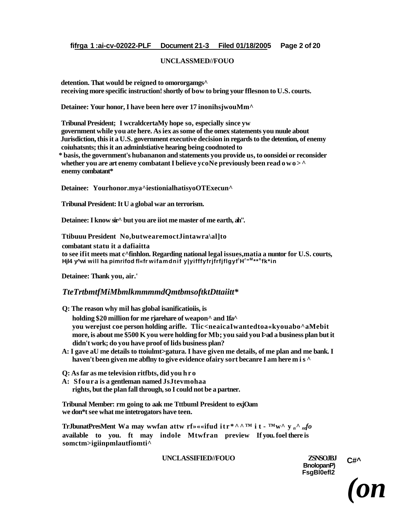#### fifrga 1:ai-cv-02022-PLF Document 21-3 Filed 01/18/2005 Page 2 of 20

#### **UNCLASSMED//FOUO**

detention. That would be reigned to omororgamgs<sup>^</sup> receiving more specific instruction! shortly of bow to bring your fflesnon to U.S. courts.

Detainee: Your honor, I have been here over 17 inonihsiwouMm<sup>^</sup>

Tribunal President; I wcraldcertaMy hope so, especially since yw government while you ate here. As iex as some of the omex statements you nuule about Jurisdiction, this it a U.S. government executive decision in regards to the detention, of enemy cojuhatsnts: this it an administiative hearing being coodnoted to

\* basis, the government's hubananon and statements you provide us, to oonsidei or reconsider whether you are art enemy combatant I believe ycoNe previously been read o w o  $>$  ^ enemy combatant\*

Detainee: Yourhonor.mva^iestionialhatisvoOTExecun^

Tribunal President: It U a global war an terrorism.

Detainee: I know sir<sup>^</sup> but you are ijot me master of me earth, ah''.

Ttibuuu President No, butweare moct Jintawra\allto

combatant statu it a dafiaitta to see if it meets mat c^finhlon. Regarding national legal issues, matia a nuntor for U.S. courts, Hjl4 y'wi will ha pimrifod fl«fr wifamdnif y|yifffyfrjfrfjflgyf<sup>1</sup>H'<sup>"M</sup>\*\*<sup>n</sup>fk\*in

Detainee: Thank you, air.'

#### TteTrtbmtfMiMbmlkmmmmdOmtbmsoftktDttaiitt\*

Q: The reason why mil has global is anification is, is

holding \$20 million for me riarehare of weapon<sup> $\wedge$ </sup> and 1fa $\wedge$ you werejust coe person holding arifle. Tlic<neaicaIwantedtoa«kyouabo^aMebit more, is about me \$500 K you were holding for Mb; you said you bad a business plan but it didn't work; do you have proof of lids business plan?

A: I gave aU me details to ttoiulmt>gatura. I have given me details, of me plan and me bank. I haven't been given me abflny to give evidence of airy sort becanre I am here m i s  $\wedge$ 

Q: As far as me television ritfbts, did you h r o

A: Sfoura is a gentleman named JsJtevmohaa rights, but the plan fall through, so I could not be a partner.

Tribunal Member: rm going to aak me Tttbuml President to exjOam we don<sup>\*</sup>t see what me intetrogators have teen.

TrJbunatPresMent Wa may wwfan attw rf»««ifud itr\*^^™ it - ™w^ y <sub>n</sub>^ <sub>n</sub>fo available to you. ft may indole Mtwfran preview If you foel there is somctm>igiinpmlautfiomti^

UNCLASSIFIED//FOUO

**ZSNSOJBJ** BnolopanP) FsgBl0efl2

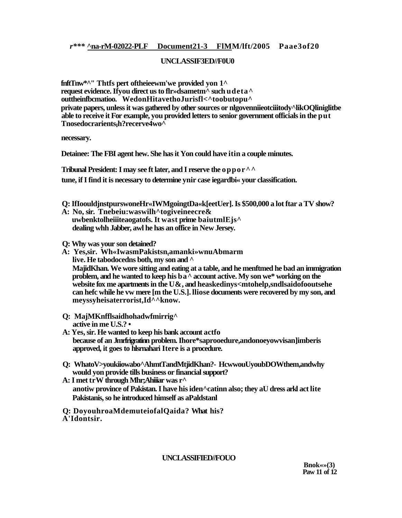# $r^{*** \text{ }\land}$ na-rM-02022-PLF Document21-3 FIMM/lft/2005 Paae3of20

# UNCLASSIF3ED//F0U0

fnftTnw\*^'' Thtfs pert of the ieewm'we provided yon 1^ request evidence. If you direct us to flr» dsametm<sup> $\land$ </sup> such u d e t a  $\land$ outtheinfbcmatioo. WedonHitavethoJurisfl<^toobutopu^ private papers, unless it was gathered by other sources or nlgovenniieotciiitody^likOOliniglitbe able to receive it For example, you provided letters to senior government officials in the put Tnosedocrarients<sub>r</sub>h?recerve4wo^

necessary.

Detainee: The FBI agent hew. She has it Yon could have it in a couple minutes.

Tribunal President: I may see ft later, and I reserve the oppor ^ ^ tune, if I find it is necessary to determine ynir case iegardbi« your classification.

- O: IfIoouldinstpurswoneHr«IWMgoingtDa«k[eetUer]. Is \$500,000 a lot ftar a TV show?
- A: No, sir. Thebeiu: was wilh ^togive ineecre& uwbenktolheiiiteaogatofs. It wast prime baiutmlEjs^ dealing whh Jabber, awl he has an office in New Jersey.

Q: Why was your son detained?

- A: Yes.sir. Wh«IwasmPakistsn.amanki»wnuAbmarm live. He tabodocedns both, my son and ^ MajidKhan. We wore sitting and eating at a table, and he menftmed he bad an immigration problem, and he wanted to keep his b a  $^{\wedge}$  account active. My son we\* working on the website fox me apartments in the  $U\&$ , and heaskedinys<mtohelp, sndlsaidofooutsehe can hefc while he vw mere [m the U.S.]. Iliose documents were recovered by my son, and meyssyheisaterrorist, Id^^know.
- O: MajMKnfflsaidhohadwfmirrig^ active in me U.S.? •
- A: Yes, sir. He wanted to keep his bank account actfo because of an Jmrfrigratinn problem. Ihore\*saprooedure,andonoeyowvisan]imberis approved, it goes to hismahari I tere is a procedure.
- Q: WhatoV>youkiiowabo^AhmtTandMtjidKhan?- HcwwouUvoubDOWthem.andwhv would von provide tills business or financial support?
- A: I met trW through Mhr; Ahiiar was r^ anotiw province of Pakistan. I have his iden^catinn also; they aU dress arkl act lite Pakistanis, so he introduced himself as aPaldstanl

O: DovouhroaMdemuteiofalOaida? What his? A'Idontsir.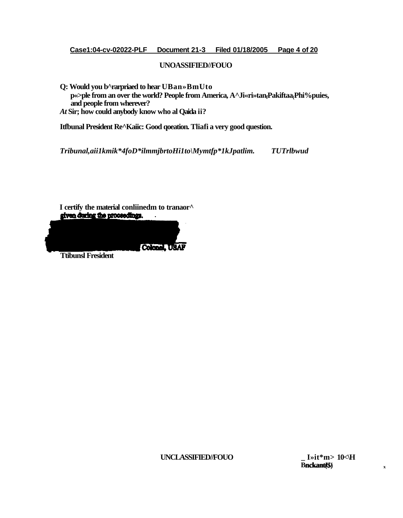#### Case1:04-cv-02022-PLF Document 21-3 Filed 01/18/2005 Page 4 of 20

# **UNOASSIFIED//FOUO**

Q: Would you b^rarpriaed to hear UBan»BmUto p<>ple from an over the world? People from America, A^Ji<ri>tan<sub>t</sub>Pakiftaa<sub>(</sub>Phi%puies, and people from wherever? At Sir; how could anybody know who al Qaida ii?

Itfbunal President Re^Kaiic: Good qoeation. Tliafi a very good question.

Tribunal,aii1kmik\*4foD\*ilmmjbrtoHi1to\Mymtfp\*1kJpatlim. **TUTrlbwud** 

I certify the material conliined to tranaor<sup>^</sup> given during the proceedings.

Colonal, USAF

**Ttibunsl Fresident** 

UNCLASSIFIED//FOUO

I»it\*m>  $10 \times H$ **Bnckant®** 

 $\mathbf{x}$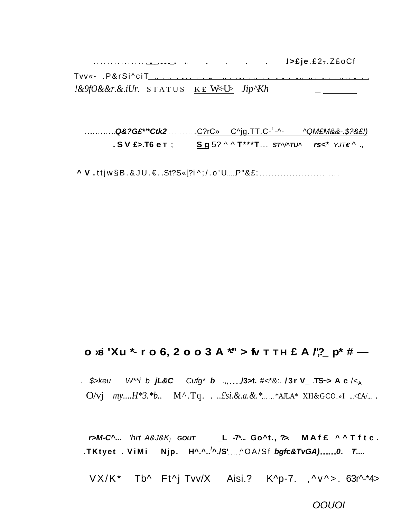$\ldots$   $\ldots$   $\ldots$   $\ldots$   $\ldots$   $\ldots$   $\ldots$   $\ldots$   $\ldots$   $\ldots$   $\ldots$   $\ldots$   $\ldots$   $\ldots$   $\ldots$ Tvv«- . P&rSi^ciT. . . . . . . . . . . 

...........Q&?G£\*'\*Ctk2..........C?rC» C^jg.TT.C-1-^- ^QMEM&&-.\$?&£!)  $.SV f$  > T6 e T; Sg 5? ^ ^ T\*\*\*T... ST^/^TU^ rs<\* YJTE^ ..

# o x 'Xu \* r o 6, 2 o o 3 A \*" > fv T T H £ A  $\prime\prime$ ,  $2$  p\*  $\#$  —

.TKtyet . ViMi Njp. H^.^..'^./S'....^OA/Sf bgfc&TvGA)..........0. T....

VX/K\* Tb^ Ft^j Tvv/X Aisi.? K^p-7. ,^v^>. 63r^-\*4>

**OOUOI**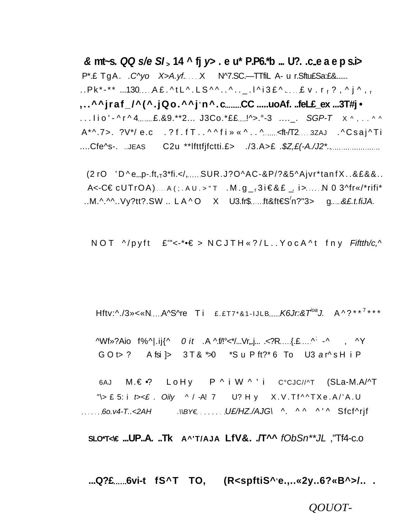& mt-s. QQ s/e SI, 14 ^ fj y >. e u\* P.P6.\*b ... U?. .c e a e p s.i P\*.£ TgA. .C^yo X>A.yf.....X N^7.SC.--TTfiL A- u r.Sftu£Sa:£&...... ..Pk\*-\*\* ...130...A£.^tL^.LS^^..^..\_.I^i3£^....£v.r.?,^j^,r ,..^^jraf /^(^.jQo.^^j'n^.c........CC .....uoAf. ..feL£ ex ...3T#j. ...lio'-^r^4.......£.&9.\*\*2... J3Co.\*££...!^>.°-3 ....\_. SGP-T  $X \wedge$ ,...^^ A\*^.7>. ?V\*/ e.c .? f.fT..^^fi » «^..^.....< ft-/T2...3ZAJ .^Csaj^Ti 

 $(2 rO' D \cdot e_{m} p_{m} \cdot ft_{m} 3^{*}fi_{m} < 0.0012$  SUR.J?O^AC-&P/?&5^Ajvr\*tanfX..&£&&.. A<-C€ cUTrOA)....A(; .AU .> "T .M.g\_r3i €&£ \_ i> ... N 0 3^fr «/\* rifi\* ..M.^.^^..Vy?tt?.SW .. LA ^O X U3.fr\$....ft&ft€S'n?"3> g....&£.t.fiJA.

NOT ^/pyft £"<-\*●€ > NCJTH «?/L.. YocA^t fny Fiftth/c,^

Hftv:^./3»<«N....A^S^re Ti £.£T7\*&1-IJLB.......K6Jr:&T<sup>ioa</sup>J. A^?\*\*<sup>7</sup>\*\*\*

 $\wedge Wf \rightarrow ?$ Aio f%^|.ij{^ 0 it .A ^.f/!°<\*/...Vr,,.j... .<?R....{.£...^' -^ , ^Y 

M.€ ? Lo Hy P ^ i W ^ ' i c c CJC//^T (SLa-M.A/^T 6AJ "\> £ 5: i t >< £ . Oily ^ / -A! 7 U? H y X.V. Tf^^TXe. A/'A.U  $\ldots$  60.04-T. <2AH NBYE  $UE/HZ$ /AJG ^ ^ ^ ^ ^ Sfcf^rif

SLO\*T<\€ ...UP..A. ..Tk A^'T/AJA LfV&. ./T^^ fObSn\*\*JL ,"Tf4-c.o

...Q?£......6vi-t fS^T TO, (R<spftiS^'e.,..«2y..6?«B^>/...

OOUOT-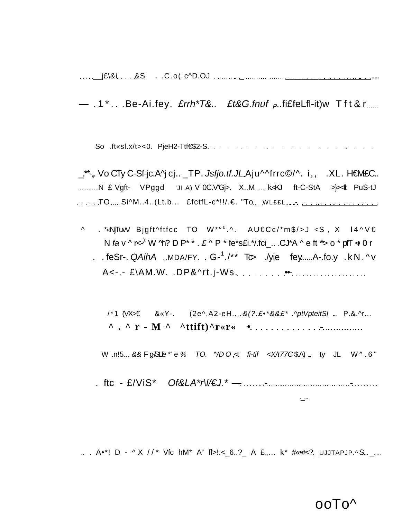- .1\*...Be-Ai.fey. £rrh\*T&.. £t&G.fnuf p.fi£feLfl-it)w Tft&r.....

\_.\*\*-,. Vo CTy C-Sf-jc.A^j cj.. \_TP. Jsfjo.tf.JL.Aju^^frrc©/^. i,, .XL. HEMEC.. ............N £ Vgft- VPggd 'JI.A) V 0C.V'Gj>. X..M........k<KJ ft-C-StA >>dt PuS-tJ 

^ . \*«NjTuvV Bjgft^ftfcc TO W\*°<sup>u</sup>.^. AU€Cc/\*m\$/>J <S, X I4^V€ N  $fa$  v  $\wedge$  r $\lt^{\mathcal{Y}}$  W  $\wedge$  P  $\geq$  P  $\star$  .  $f \wedge P$   $\star$  fe $\star$ s $f$ i. $\star$ /.fci ... CJ $\star$ A  $\wedge$  e ft  $\star$  o  $\star$  pfT  $\ltimes$  0 r . . feSr-. QAihA ..MDA/FY. . G-<sup>1</sup>./\*\* To ./yie fey.....A-.fo.y . kN.^v 

/\*1 (VX>€ & «Y-. (2e^.A2-eH....& (?.£•\*&&£\* .^ptVpteitSI ... P.&.^r... 

W.n!5... && Fg/SLfe \*' e % TO. ^/DO,<t fi-tif <X/t77C\$A) ... ty JL W^.6"

... A.\*! D - ^ X //\* Vfc hM\* A" fl>!.< 6..? A £.... k\* #<#<?. UJJTAPJP.^S... .....

# $00$ To $\Lambda$

 $-$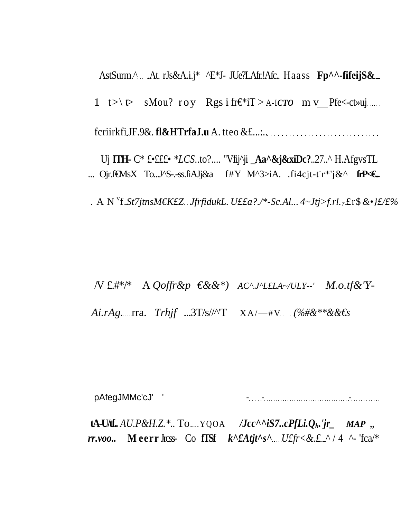AstSurm.^.....At. rJs&A.i.j\* ^E\*J- JUe?LAfr.!Afc.. Haass Fp^^-fifeijS& 1  $t > \mathfrak{b}$  sMou? roy Rgs i fre<sup>s</sup>iT > A-I<u>CTO</u> m v\_Pfe<-ct>uj....... 

Uj ITH- C\* £ efff · \* LCS..to?.... "Vfij^ji \_Aa^&j&xiDc?..27..^ H.AfgvsTL ... Ojr.ftMsX To...J^S-.-ss.fiAJj&a f#Y M^3>iA. .fi4cjt-t<sup>-</sup>r\*'j&^ frP<€.

. A N  $Yf$  St7jtnsMEK£Z JfrfidukL. U££a?./\*-Sc.Al... 4~Jtj>f.rl.7£r\$&•}£/£%

 $N \pounds H^{*/*}$  A Qoffr&p  $\pounds \& \& ^*$ ) AC^.J^L£LA~/ULY--' M.o.tf&'Y-Ai.rAg. rra. Trhif ...3T/s//^T  $XA/\rightarrow W$ ...(%#&\*\*&& $\xi$ s

pAfegJMMc'cJ' ' 

**tA-U/tf.** AU.P&H.Z.\*.. TO.... YQOA /*Jcc*^^*iS7..cPfLi.Q<sub>h</sub>*.'*jr*\_ MAP, **Meerr JESS** Co **fISf**  $k^{\wedge} \text{\textsterling}Atjt^{\wedge} s^{\wedge} \dots \text{\textsterling}tfr < \text{\textsterling}t.f \dots \wedge / 4$  ^- 'fca/\* **rr.voo..**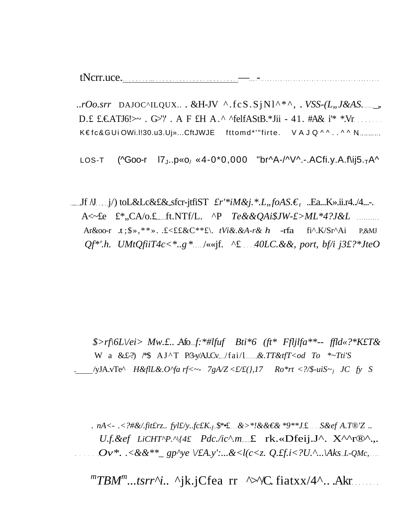$tNerr.uce...$ 

D.£ £.€ATJ6!>~ . G>"/ . A F £H A.^ ^felfAStB.\*Jii - 41. #A& i'\* \*.Vr........ K€fc&GUiOWi.I!30.u3.Uj»...CftJWJE fttomd\*'"firte. VAJQ^^..^^ N...........

(^Goo-r I7,..p«o/ «4-0\*0,000 "br^A-/^V^.-.ACfi.y.A.f\ij5.<sub>T</sub>A^ LOS-T

 $A \leftarrow E^*$ ,  $CA/O.E$  ft. NTf/L. ^P  $Te\&\&QAi\&JW-E>ML^*4?J\&L$  ........ Ar&oo-r .t;\$»,\*\*».  $f \in f(x)$ .  $t \vee f(x)$ .  $t \vee f(x)$ .  $dA - r$   $h$  -rfa fi^.K/Sr^Ai P.&MJ  $Qf^{*}.h$ . UMtQfiiT4c < \*...g \* /««jf. ^£ 40LC.&&, port, bf/i j3£?\*JteO

 $$>$ rf\6L\/ei > Mw.f.. Afo f:\*#lfuf Bti\*6 (ft\* Ffljlfa\*\*-- ffld«?\*K£T& W a &£-?)  $\frac{1}{2}$  AJ^T P3-y/AJ.Cv. /fai/1.... &.TT&tfT<od To  $\frac{1}{2}$ -Tti'S  $\angle$ /yJA.vTe^ H&flL&.O^fa rf<~- 7gA/Z <£/£(},17 Ro\*rt <?/\$-uiS~} JC fy S

U.f. & ef LiCHT^P.^\/4£ Pdc./ic^.m... £ rk. «Dfeij.J^.  $X^{\wedge n}$ r®^.,.  $Ov^*$ .  $< \&<^*$  gp^ye  $\forall$ £A.v':...  $< l(c < z, Q, tf.i < ?U$ .^...\Aks L-QMc,....

 ${}^mTBM^m...tsrr^i...$  ^jk.jCfea rr  $\sim$   $\sqrt{C}$ . fiatxx/4^...Akr........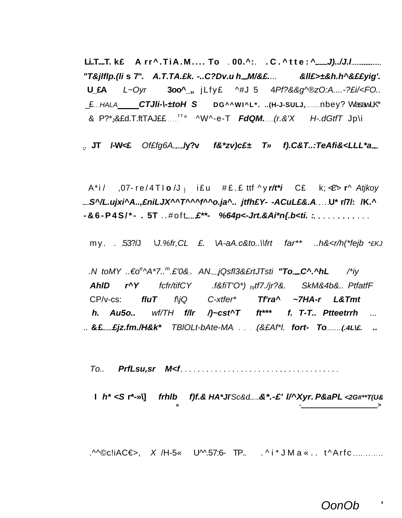Li.T...T. k£ A rr^.TiA.M.... To .00.^:. .C.^tte:^.......J)./J.I................. "T&jlflp.(li s 7". A.T.TA.£k. -..C?Dv.u h\_M/&£.... &II£>±&h.h^&££yig'. U\_£A  $L \sim Oyr$  300^\_,, jLfy£ ^#J 5 4Pf?&&g^®zO:A....-?£i/<FO.. \_£ \_\_ HALA \_\_\_\_\_ CTJIi-\-±toH S DG ^ ^ WI ^ L \*. .. (H-J-SULJ, ........... nbey? WasawLK\* & P?\*j&£d.T.ftTAJ££....<sup>ro</sup> ^W^-e-T **FdQM.**....(r.&'X H-.dGtfT Jp\i

.. JT  $I-W\leq$  Offig6A  $\ldots$  ly?v f&\*zv)c $f$  = T» f). C&T.: TeAfi&<LLL \*a...

A<sup>\*</sup>i/ ,07-re/4Tlo/J, i£u #£.£ ttf ^y r/t<sup>\*j</sup> C£ k;  $\mathcal{L}$ > r^ Atjkoy ....S^/L.ujxi^A..,£niLJX^^T^^^f^^o.ja^.. jtfh£Y- -ACuL£&.A....U\* r/7/: /K.^ 

my. . .53?/J V.%fr, CL £. VA-aA.c&to..\\frt far\*\* ..h&<r/h(\*fejb \* $E$ KJ

.N toMY ..€o<sup>e</sup>^A\*7..<sup>m</sup>.£'0&. AN.....jQsfl3&£rtJTsti "To\_\_C^.^hL /\*iv **AhlD**  $r \wedge Y$ SkM&4b&., PtfatfF  $CP/v\text{-}cs$ : *fluT* flyQ C-xtfer\* Tf'ra^ ~7HA-r L&Tmt wf/TH f/lr /)~cst^T ft\*\*\* f. T-T.. Ptteetrrh ...  $h.$  Au50..  $\therefore$  & £  $f(z, fm)/H$ &  $k^*$  TBIOLt-bAte-MA  $\therefore$  (& £Af\*l. fort- To  $\therefore$  (4L \c  $f(z, f(z))$ 

frhlb f)f.& HA\*JI'Sc&d....&\*.-£' I/^Xyr. P&aPL <2G#\*\*T(U&  $1 h^* < S r^*$ -»\]

. M©c!iAC€>, X/H-5« UM.57:6- TP. . ^i\* JMa «.. t^Arfc.............

# *OonOb*

 $\sim 100$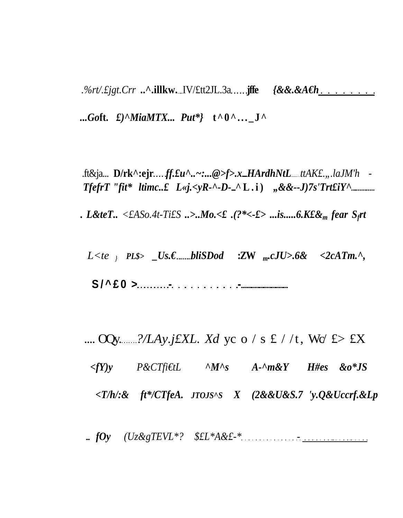. *%rt/. £jgt. Crr* .. ^ .illkw. V/£tt2JL.3a..... jffe  $\{ \&\&\&A \in h_1 \ldots \ldots$ ...Goft. £)^MiaMTX... Put\*}  $t^0$ ... J^

.ft&ja...  $D/rk^{\wedge}$ :ejr....*ff.£u* ^..~:...@>*f>.x\_HArdhNtL\_\_ttAK£.*,..*laJM'h* -. L&teT.. <£ASo.4t-Ti£S ..>..Mo.< $f$ . (?\*<- $f$ >...is.....6.K $f$ &<sub>m</sub> fear S<sub>i</sub>rt  $L \leq te$  pus Ls.  $\epsilon$  Ls.  $\epsilon$  Ls.  $\epsilon$  Let  $L \leq V$   $\epsilon$  Let  $\epsilon$   $\leq$   $\epsilon$   $\leq$   $\epsilon$   $\leq$   $\epsilon$   $\leq$   $\epsilon$   $\leq$   $\epsilon$   $\leq$   $\epsilon$   $\leq$   $\epsilon$   $\leq$   $\epsilon$   $\leq$   $\epsilon$   $\leq$   $\epsilon$   $\leq$   $\epsilon$   $\leq$   $\epsilon$   $\leq$   $\epsilon$   $\leq$   $\epsilon$   $\$ 

.... OQy.......?/LAy.j£XL. Xd yc o / s  $\pounds$  //t, We  $\pounds > \pounds X$  $P\&CTfi$ <sup> $\in$ t $L$ </sup>  $\wedge M \wedge_S$   $A - \wedge m \& Y$   $H \# e_S$  $\&o^*JS$  $\langle fY\rangle$ y  $\langle T/h/\mathcal{R} \quad \text{ft*}/\mathcal{CT} \text{feA}.$  JTOJS^S X (2&&U&S.7 'y.Q&Uccrf.&Lp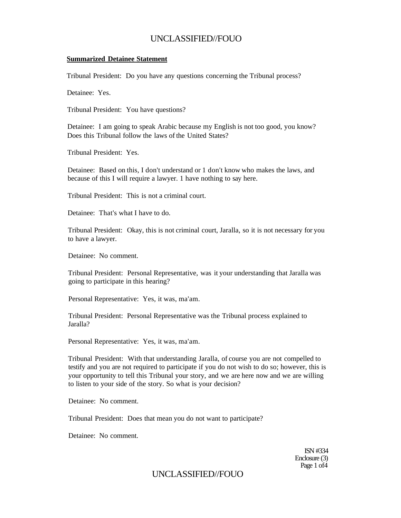#### **Summarized Detainee Statement**

Tribunal President: Do you have any questions concerning the Tribunal process?

Detainee: Yes.

Tribunal President: You have questions?

Detainee: I am going to speak Arabic because my English is not too good, you know? Does this Tribunal follow the laws of the United States?

Tribunal President: Yes.

Detainee: Based on this, I don't understand or 1 don't know who makes the laws, and because of this I will require a lawyer. 1 have nothing to say here.

Tribunal President: This is not a criminal court.

Detainee: That's what I have to do.

Tribunal President: Okay, this is not criminal court, Jaralla, so it is not necessary for you to have a lawyer.

Detainee: No comment.

Tribunal President: Personal Representative, was it your understanding that Jaralla was going to participate in this hearing?

Personal Representative: Yes, it was, ma'am.

Tribunal President: Personal Representative was the Tribunal process explained to Jaralla?

Personal Representative: Yes, it was, ma'am.

Tribunal President: With that understanding Jaralla, of course you are not compelled to testify and you are not required to participate if you do not wish to do so; however, this is your opportunity to tell this Tribunal your story, and we are here now and we are willing to listen to your side of the story. So what is your decision?

Detainee: No comment.

Tribunal President: Does that mean you do not want to participate?

Detainee: No comment.

ISN #334 Enclosure (3) Page 1 of4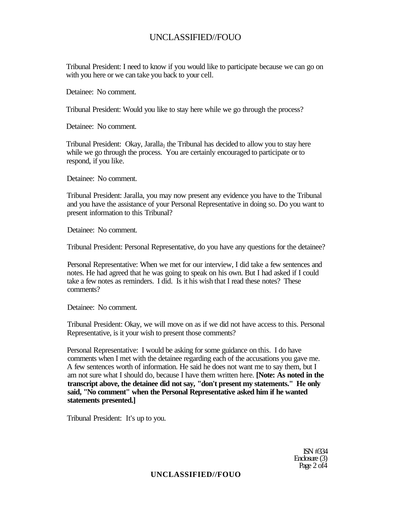Tribunal President: I need to know if you would like to participate because we can go on with you here or we can take you back to your cell.

Detainee: No comment.

Tribunal President: Would you like to stay here while we go through the process?

Detainee: No comment.

Tribunal President: Okay, Jaralla<sub>}</sub> the Tribunal has decided to allow you to stay here while we go through the process. You are certainly encouraged to participate or to respond, if you like.

Detainee: No comment.

Tribunal President: Jaralla, you may now present any evidence you have to the Tribunal and you have the assistance of your Personal Representative in doing so. Do you want to present information to this Tribunal?

Detainee: No comment.

Tribunal President: Personal Representative, do you have any questions for the detainee?

Personal Representative: When we met for our interview, I did take a few sentences and notes. He had agreed that he was going to speak on his own. But I had asked if I could take a few notes as reminders. I did. Is it his wish that I read these notes? These comments?

Detainee: No comment.

Tribunal President: Okay, we will move on as if we did not have access to this. Personal Representative, is it your wish to present those comments?

Personal Representative: I would be asking for some guidance on this. I do have comments when I met with the detainee regarding each of the accusations you gave me. A few sentences worth of information. He said he does not want me to say them, but I am not sure what I should do, because I have them written here. **[Note: As noted in the transcript above, the detainee did not say, "don't present my statements." He only said, "No comment" when the Personal Representative asked him if he wanted statements presented.]** 

Tribunal President: It's up to you.

ISN #334 Enclosure (3) Page 2 of 4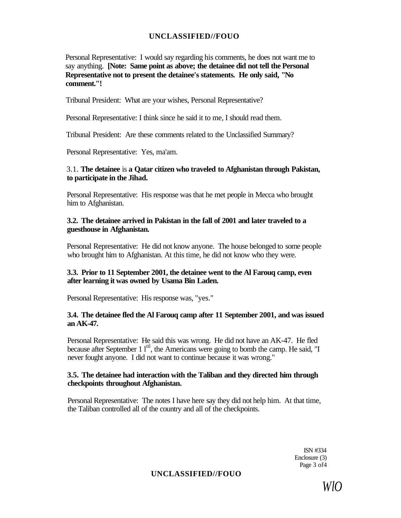Personal Representative: I would say regarding his comments, he does not want me to say anything. **[Note: Same point as above; the detainee did not tell the Personal Representative not to present the detainee's statements. He only said, "No comment."!** 

Tribunal President: What are your wishes, Personal Representative?

Personal Representative: I think since he said it to me, I should read them.

Tribunal President: Are these comments related to the Unclassified Summary?

Personal Representative: Yes, ma'am.

# 3.1. **The detainee** is **a Qatar citizen who traveled to Afghanistan through Pakistan, to participate in the Jihad.**

Personal Representative: His response was that he met people in Mecca who brought him to Afghanistan.

# **3.2. The detainee arrived in Pakistan in the fall of 2001 and later traveled to a guesthouse in Afghanistan.**

Personal Representative: He did not know anyone. The house belonged to some people who brought him to Afghanistan. At this time, he did not know who they were.

# **3.3. Prior to 11 September 2001, the detainee went to the Al Farouq camp, even after learning it was owned by Usama Bin Laden.**

Personal Representative: His response was, "yes."

# **3.4. The detainee fled the Al Farouq camp after 11 September 2001, and was issued an AK-47.**

Personal Representative: He said this was wrong. He did not have an AK-47. He fled because after September 1 l<sup>til</sup>, the Americans were going to bomb the camp. He said, "I never fought anyone. I did not want to continue because it was wrong."

# **3.5. The detainee had interaction with the Taliban and they directed him through checkpoints throughout Afghanistan.**

Personal Representative: The notes I have here say they did not help him. At that time, the Taliban controlled all of the country and all of the checkpoints.

> ISN #334 Enclosure (3) Page 3 of4

# **UNCLASSIFIED//FOUO**

*WlO*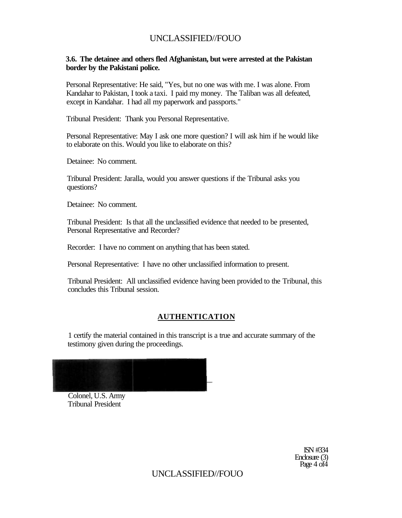# **3.6. The detainee and others fled Afghanistan, but were arrested at the Pakistan border by the Pakistani police.**

Personal Representative: He said, "Yes, but no one was with me. I was alone. From Kandahar to Pakistan, I took a taxi. I paid my money. The Taliban was all defeated, except in Kandahar. I had all my paperwork and passports."

Tribunal President: Thank you Personal Representative.

Personal Representative: May I ask one more question? I will ask him if he would like to elaborate on this. Would you like to elaborate on this?

Detainee: No comment.

Tribunal President: Jaralla, would you answer questions if the Tribunal asks you questions?

Detainee: No comment.

Tribunal President: Is that all the unclassified evidence that needed to be presented, Personal Representative and Recorder?

Recorder: I have no comment on anything that has been stated.

Personal Representative: I have no other unclassified information to present.

Tribunal President: All unclassified evidence having been provided to the Tribunal, this concludes this Tribunal session.

# **AUTHENTICATION**

1 certify the material contained in this transcript is a true and accurate summary of the testimony given during the proceedings.



Colonel, U.S. Army Tribunal President

> ISN #334 Enclosure (3) Page 4 of 4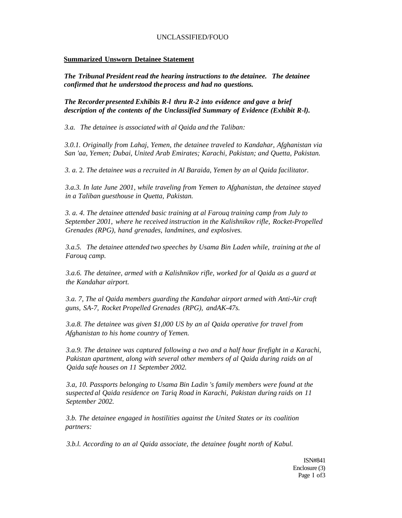#### **Summarized Unsworn Detainee Statement**

*The Tribunal President read the hearing instructions to the detainee. The detainee confirmed that he understood the process and had no questions.* 

*The Recorder presented Exhibits R-l thru R-2 into evidence and gave a brief description of the contents of the Unclassified Summary of Evidence (Exhibit R-l).* 

*3.a. The detainee is associated with al Qaida and the Taliban:* 

*3.0.1. Originally from Lahaj, Yemen, the detainee traveled to Kandahar, Afghanistan via San 'aa, Yemen; Dubai, United Arab Emirates; Karachi, Pakistan; and Quetta, Pakistan.* 

*3. a.* 2. *The detainee was a recruited in Al Baraida, Yemen by an al Qaida facilitator.* 

*3.a.3. In late June 2001, while traveling from Yemen to Afghanistan, the detainee stayed in a Taliban guesthouse in Quetta, Pakistan.* 

*3. a. 4. The detainee attended basic training at al Farouq training camp from July to September 2001, where he received instruction in the Kalishnikov rifle, Rocket-Propelled Grenades (RPG), hand grenades, landmines, and explosives.* 

*3.a.5. The detainee attended two speeches by Usama Bin Laden while, training at the al Farouq camp.* 

*3.a.6. The detainee, armed with a Kalishnikov rifle, worked for al Qaida as a guard at the Kandahar airport.* 

*3.a. 7, The al Qaida members guarding the Kandahar airport armed with Anti-Air craft guns, SA-7, Rocket Propelled Grenades (RPG), andAK-47s.* 

*3.a.8. The detainee was given \$1,000 US by an al Qaida operative for travel from Afghanistan to his home country of Yemen.* 

*3.a.9. The detainee was captured following a two and a half hour firefight in a Karachi, Pakistan apartment, along with several other members of al Qaida during raids on al Qaida safe houses on 11 September 2002.* 

*3.a, 10. Passports belonging to Usama Bin Ladin 's family members were found at the suspected al Qaida residence on Tariq Road in Karachi, Pakistan during raids on 11 September 2002.* 

*3.b. The detainee engaged in hostilities against the United States or its coalition partners:* 

*3.b.l. According to an al Qaida associate, the detainee fought north of Kabul.*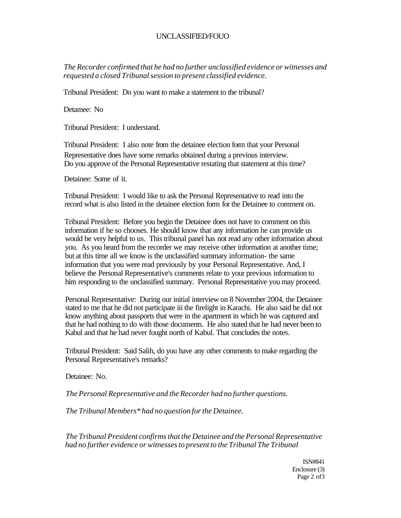*The Recorder confirmed that he had no further unclassified evidence or witnesses and requested a closed Tribunal session to present classified evidence.* 

Tribunal President: Do you want to make a statement to the tribunal?

Detamee: No

Tribunal President: I understand.

Tribunal President: I also note from the detainee election form that your Personal Representative does have some remarks obtained during a previous interview. Do you approve of the Personal Representative restating that statement at this time?

Detainee: Some of it.

Tribunal President: I would like to ask the Personal Representative to read into the record what is also listed in the detainee election form for the Detainee to comment on.

Tribunal President: Before you begin the Detainee does not have to comment on this information if he so chooses. He should know that any information he can provide us would be very helpful to us. This tribunal panel has not read any other information about you. As you heard from the recorder we may receive other information at another time; but at this time all we know is the unclassified summary information- the same information that you were read previously by your Personal Representative. And, I believe the Personal Representative's comments relate to your previous information to him responding to the unclassified summary. Personal Representative you may proceed.

Personal Representative: During our initial interview on 8 November 2004, the Detainee stated to me that he did not participate iii the firelight in Karachi. He also said he did not know anything about passports that were in the apartment in which he was captured and that he had nothing to do with those documents. He also stated that he had never been to Kabul and that he had never fought north of Kabul. That concludes the notes.

Tribunal President: Said Salih, do you have any other comments to make regarding the Personal Representative's remarks?

Detainee: No.

*The Personal Representative and the Recorder had no further questions.* 

*The Tribunal Members\* had no question for the Detainee.* 

*The Tribunal President confirms that the Detainee and the Personal Representative*  had no further evidence or witnesses to present to the Tribunal The Tribunal

> ISN#841 Enclosure (3) Page 2 of3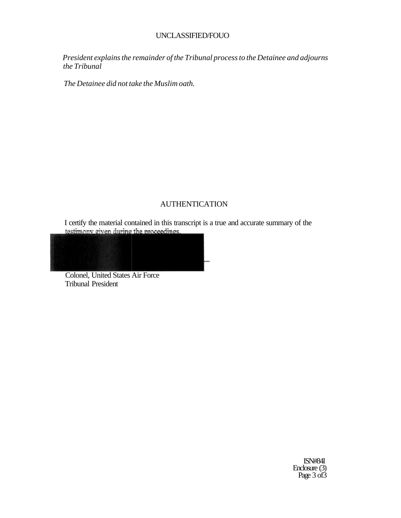*President explains the remainder of the Tribunal process to the Detainee and adjourns the Tribunal* 

*The Detainee did not take the Muslim oath.* 

# AUTHENTICATION

I certify the material contained in this transcript is a true and accurate summary of the



Colonel, United States Air Force Tribunal President

> ISN#84I Enclosure (3) Page 3 of 3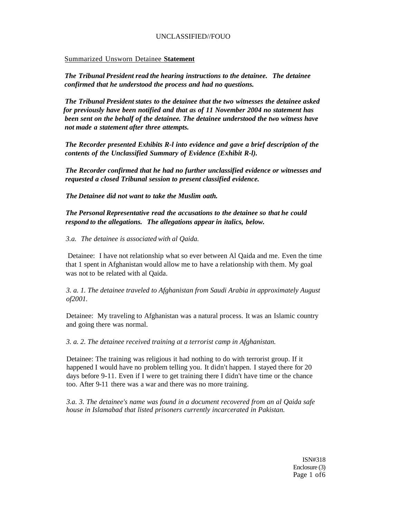#### Summarized Unsworn Detainee **Statement**

*The Tribunal President read the hearing instructions to the detainee. The detainee confirmed that he understood the process and had no questions.* 

*The Tribunal President states to the detainee that the two witnesses the detainee asked for previously have been notified and that as of 11 November 2004 no statement has been sent on the behalf of the detainee. The detainee understood the two witness have not made a statement after three attempts.* 

*The Recorder presented Exhibits R-l into evidence and gave a brief description of the contents of the Unclassified Summary of Evidence (Exhibit R-l).* 

*The Recorder confirmed that he had no further unclassified evidence or witnesses and requested a closed Tribunal session to present classified evidence.* 

*The Detainee did not want to take the Muslim oath.* 

*The Personal Representative read the accusations to the detainee so that he could respond to the allegations. The allegations appear in italics, below.* 

*3.a. The detainee is associated with al Qaida.* 

Detainee: I have not relationship what so ever between Al Qaida and me. Even the time that 1 spent in Afghanistan would allow me to have a relationship with them. My goal was not to be related with al Qaida.

*3. a. 1. The detainee traveled to Afghanistan from Saudi Arabia in approximately August of2001.* 

Detainee: My traveling to Afghanistan was a natural process. It was an Islamic country and going there was normal.

*3. a. 2. The detainee received training at a terrorist camp in Afghanistan.* 

Detainee: The training was religious it had nothing to do with terrorist group. If it happened I would have no problem telling you. It didn't happen. I stayed there for 20 days before 9-11. Even if I were to get training there I didn't have time or the chance too. After 9-11 there was a war and there was no more training.

*3.a. 3. The detainee's name was found in a document recovered from an al Qaida safe house in Islamabad that listed prisoners currently incarcerated in Pakistan.* 

> ISN#318 Enclosure (3) Page 1 of6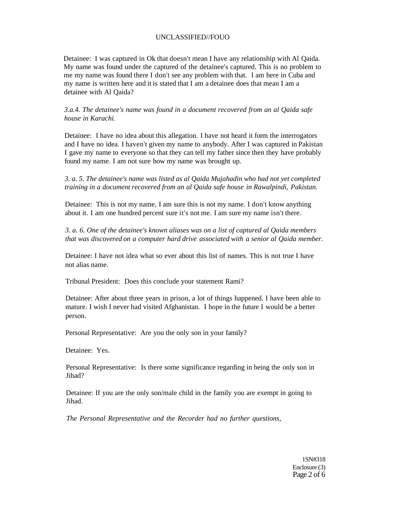Detainee: I was captured in Ok that doesn't mean I have any relationship with Al Qaida. My name was found under the captured of the detainee's captured. This is no problem to me my name was found there I don't see any problem with that. I am here in Cuba and my name is written here and it is stated that I am a detainee does that mean I am a detainee with Al Qaida?

*3.a.4. The detainee's name was found in a document recovered from an al Qaida safe house in Karachi.* 

Detainee: I have no idea about this allegation. I have not heard it form the interrogators and I have no idea. I haven't given my name to anybody. After I was captured in Pakistan I gave my name to everyone so that they can tell my father since then they have probably found my name. I am not sure how my name was brought up.

*3. a. 5. The detainee's name was listed as al Qaida Mujahadin who had not yet completed training in a document recovered from an al Qaida safe house in Rawalpindi, Pakistan.* 

Detainee: This is not my name, I am sure this is not my name. I don't know anything about it. I am one hundred percent sure it's not me. I am sure my name isn't there.

*3. a. 6. One of the detainee's known aliases was on a list of captured al Qaida members that was discovered on a computer hard drive associated with a senior al Qaida member.* 

Detainee: I have not idea what so ever about this list of names. This is not true I have not alias name.

Tribunal President: Does this conclude your statement Rami?

Detainee: After about three years in prison, a lot of things happened. I have been able to mature. I wish I never had visited Afghanistan. I hope in the future I would be a better person.

Personal Representative: Are you the only son in your family?

Detainee: Yes.

Personal Representative: Is there some significance regarding in being the only son in Jihad?

Detainee: If you are the only son/male child in the family you are exempt in going to Jihad.

*The Personal Representative and the Recorder had no further questions,* 

1SN#318 Enclosure (3) Page 2 of 6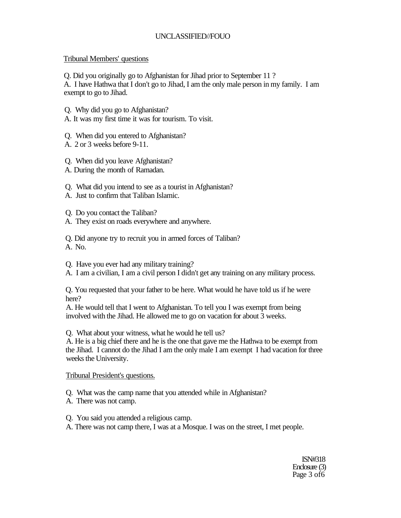# Tribunal Members' questions

Q. Did you originally go to Afghanistan for Jihad prior to September 11 ? A. I have Hathwa that I don't go to Jihad, I am the only male person in my family. I am exempt to go to Jihad.

- Q. Why did you go to Afghanistan?
- A. It was my first time it was for tourism. To visit.
- Q. When did you entered to Afghanistan?
- A. 2 or 3 weeks before 9-11.
- Q. When did you leave Afghanistan?
- A. During the month of Ramadan.
- Q. What did you intend to see as a tourist in Afghanistan?
- A. Just to confirm that Taliban Islamic.
- Q. Do you contact the Taliban?
- A. They exist on roads everywhere and anywhere.

Q. Did anyone try to recruit you in armed forces of Taliban?

A. No.

- Q. Have you ever had any military training?
- A. I am a civilian, I am a civil person I didn't get any training on any military process.

Q. You requested that your father to be here. What would he have told us if he were here?

A. He would tell that I went to Afghanistan. To tell you I was exempt from being involved with the Jihad. He allowed me to go on vacation for about 3 weeks.

Q. What about your witness, what he would he tell us?

A. He is a big chief there and he is the one that gave me the Hathwa to be exempt from the Jihad. I cannot do the Jihad I am the only male I am exempt I had vacation for three weeks the University.

# Tribunal President's questions.

Q. What was the camp name that you attended while in Afghanistan?

- A. There was not camp.
- Q. You said you attended a religious camp.
- A. There was not camp there, I was at a Mosque. I was on the street, I met people.

ISN#318 Enclosure (3) Page 3 of6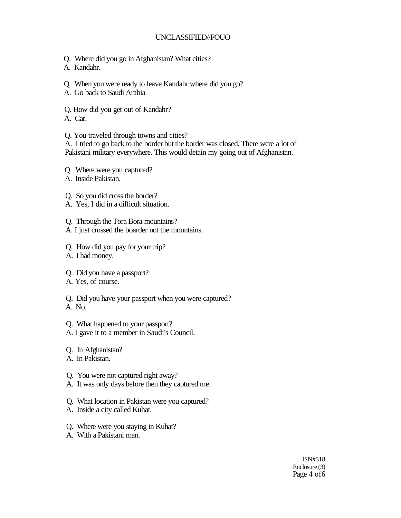- Q. Where did you go in Afghanistan? What cities?
- A. Kandahr.
- Q. When you were ready to leave Kandahr where did you go?
- A. Go back to Saudi Arabia
- Q. How did you get out of Kandahr?

A. Car.

Q. You traveled through towns and cities?

A. I tried to go back to the border but the border was closed. There were a lot of Pakistani military everywhere. This would detain my going out of Afghanistan.

- Q. Where were you captured?
- A. Inside Pakistan.

Q. So you did cross the border?

- A. Yes, I did in a difficult situation.
- Q. Through the Tora Bora mountains?
- A. I just crossed the boarder not the mountains.
- Q. How did you pay for your trip?
- A. I had money.
- Q. Did you have a passport?
- A. Yes, of course.
- Q. Did you have your passport when you were captured?

A. No.

Q. What happened to your passport?

- A. I gave it to a member in Saudi's Council.
- Q. In Afghanistan?
- A. In Pakistan.

Q. You were not captured right away?

- A. It was only days before then they captured me.
- Q. What location in Pakistan were you captured?
- A. Inside a city called Kuhat.
- Q. Where were you staying in Kuhat?
- A. With a Pakistani man.

ISN#318 Enclosure (3) Page 4 of6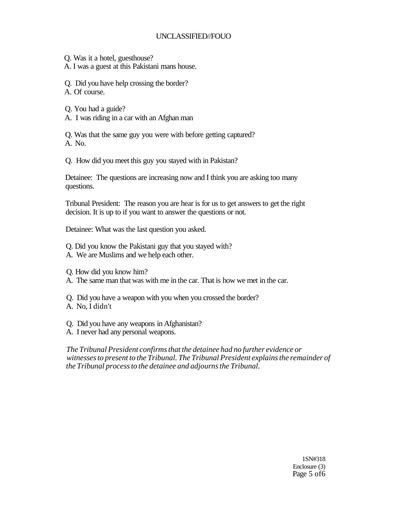Q. Was it a hotel, guesthouse?

A. I was a guest at this Pakistani mans house.

- Q. Did you have help crossing the border?
- A. Of course.
- Q. You had a guide?
- A. I was riding in a car with an Afghan man

Q. Was that the same guy you were with before getting captured? A. No.

Q. How did you meet this guy you stayed with in Pakistan?

Detainee: The questions are increasing now and I think you are asking too many questions.

Tribunal President: The reason you are hear is for us to get answers to get the right decision. It is up to if you want to answer the questions or not.

Detainee: What was the last question you asked.

- Q. Did you know the Pakistani guy that you stayed with?
- A. We are Muslims and we help each other.
- Q. How did you know him?
- A. The same man that was with me in the car. That is how we met in the car.
- Q. Did you have a weapon with you when you crossed the border?
- A. No, I didn't
- Q. Did you have any weapons in Afghanistan?
- A. I never had any personal weapons.

*The Tribunal President confirms that the detainee had no further evidence or witnesses to present to the Tribunal. The Tribunal President explains the remainder of the Tribunal process to the detainee and adjourns the Tribunal.* 

> 1SN#318 Enclosure (3) Page 5 of6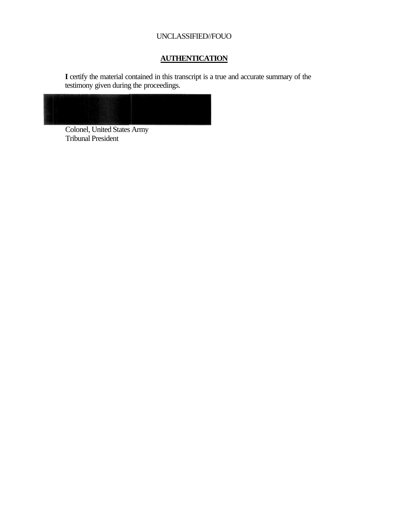# **AUTHENTICATION**

**I** certify the material contained in this transcript is a true and accurate summary of the testimony given during the proceedings.



Colonel, United States Army Tribunal President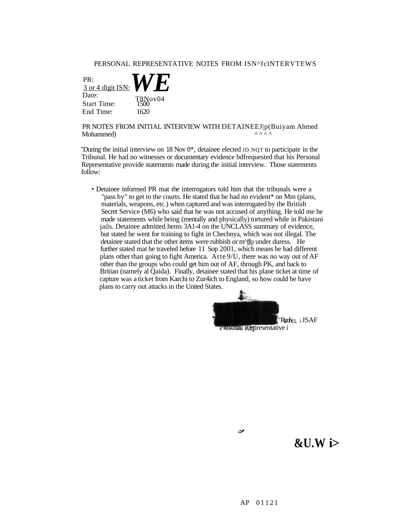#### PERSONAL REPRESENTATIVE NOTES FROM ISN^fclNTERVTEWS

PR: 3 or 4 digit ISN: Date: *WE*  **Start Time:** End Time: 1500 1620

#### PR NOTES FROM INITIAL INTERVIEW WITH DETAINEEJ|p(Buiyam Ahmed Mohammed) ^^^ ^

"During the initial interview on 18 Nov 0\*, detainee elected JD.NQT to participate in the Tribunal. He had no witnesses or documentary evidence bdfrequested that his Personal Representative provide statements made during the initial interview. Those statements follow:

• Detainee informed PR mat rhe interrogators told him that the tribunals were a "pass by" to get to the courts. He stated that he had no evident<sup>\*</sup> on Mm (plans, materials, weapons, etc.) when captured and was interrogated by the British Secret Service (M6) who said that he was not accused of anything. He told me he made statements while being (mentally and physically) tortured while in Pakistani jails. Detainee admitted hems 3A1-4 on the UNCLASS summary of evidence, but stated he went for training to fight in Chechnya, which was not illegal. The detainee stated that the other items were rubbish or m<sup>o</sup>ffo under duress. He further stated mat he traveled before 11 Sop 2001, which means he had different plans other than going to fight America. Arte 9/U, there was no way out of AF other than the groups who could get him out of AF, through PK, and back to Britian (namely al Qaida). Finally, detainee stated that his plane ticket at time of capture was a ticket from Karchi to Zur4ich to England, so how could be have plans to carry out attacks in the United States.

"ReaJe <sub>Li</sub>JSAF iresentative i

**->\*** 

**&U.W i>**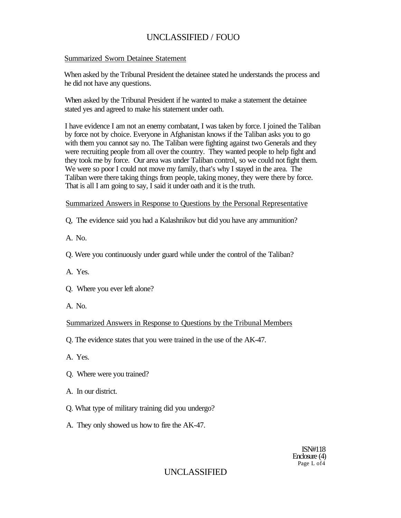# Summarized Sworn Detainee Statement

When asked by the Tribunal President the detainee stated he understands the process and he did not have any questions.

When asked by the Tribunal President if he wanted to make a statement the detainee stated yes and agreed to make his statement under oath.

I have evidence I am not an enemy combatant, I was taken by force. I joined the Taliban by force not by choice. Everyone in Afghanistan knows if the Taliban asks you to go with them you cannot say no. The Taliban were fighting against two Generals and they were recruiting people from all over the country. They wanted people to help fight and they took me by force. Our area was under Taliban control, so we could not fight them. We were so poor I could not move my family, that's why I stayed in the area. The Taliban were there taking things from people, taking money, they were there by force. That is all I am going to say, I said it under oath and it is the truth.

# Summarized Answers in Response to Questions by the Personal Representative

Q, The evidence said you had a Kalashnikov but did you have any ammunition?

A. No.

Q. Were you continuously under guard while under the control of the Taliban?

- A. Yes.
- Q. Where you ever left alone?
- A. No.

# Summarized Answers in Response to Questions by the Tribunal Members

Q. The evidence states that you were trained in the use of the AK-47.

- A. Yes.
- Q. Where were you trained?
- A. In our district.
- Q. What type of military training did you undergo?
- A. They only showed us how to fire the AK-47.

ISN#118 Enclosure (4) Page L of 4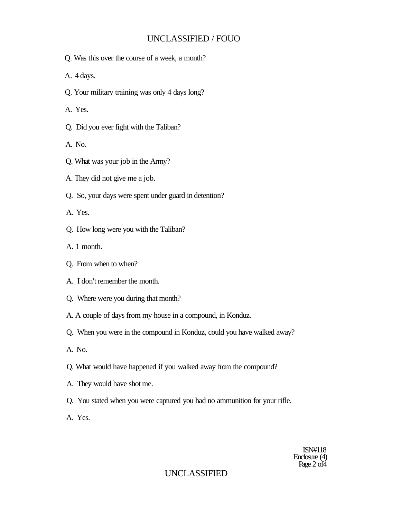Q. Was this over the course of a week, a month?

A. 4 days.

Q. Your military training was only 4 days long?

A. Yes.

Q. Did you ever fight with the Taliban?

A. No.

- Q. What was your job in the Army?
- A. They did not give me a job.
- Q. So, your days were spent under guard in detention?

A. Yes.

- Q. How long were you with the Taliban?
- A. 1 month.
- Q. From when to when?
- A. I don't remember the month.
- Q. Where were you during that month?
- A. A couple of days from my house in a compound, in Konduz.
- Q. When you were in the compound in Konduz, could you have walked away?
- A. No.
- Q. What would have happened if you walked away from the compound?
- A. They would have shot me.
- Q. You stated when you were captured you had no ammunition for your rifle.

A. Yes.

ISN#118 Enclosure (4) Page 2 of 4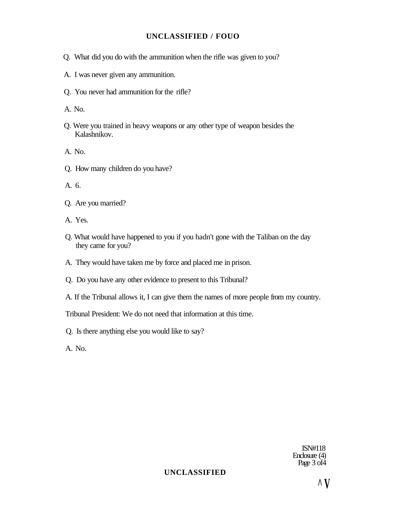- Q. What did you do with the ammunition when the rifle was given to you?
- A. I was never given any ammunition.
- Q. You never had ammunition for the rifle?
- A. No.
- Q. Were you trained in heavy weapons or any other type of weapon besides the Kalashnikov.
- A. No.
- Q. How many children do you have?
- A. 6.
- Q. Are you married?
- A. Yes.
- Q. What would have happened to you if you hadn't gone with the Taliban on the day they came for you?
- A. They would have taken me by force and placed me in prison.
- Q. Do you have any other evidence to present to this Tribunal?
- A. If the Tribunal allows it, I can give them the names of more people from my country.

Tribunal President: We do not need that information at this time.

Q. Is there anything else you would like to say?

A. No.

ISN#118 Enclosure (4) Page 3 of 4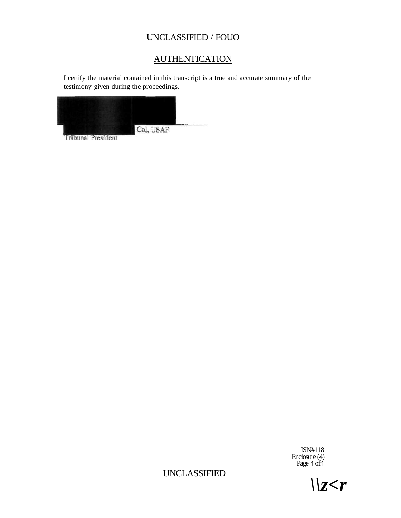# **AUTHENTICATION**

I certify the material contained in this transcript is a true and accurate summary of the testimony given during the proceedings.

| Tribunal President | Col. USAF |
|--------------------|-----------|

ISN#118 Enclosure (4) Page 4 of 4

 $\sqrt{z}$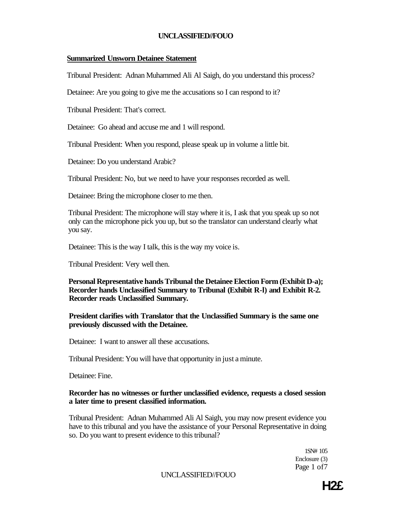# **Summarized Unsworn Detainee Statement**

Tribunal President: Adnan Muhammed Ali Al Saigh, do you understand this process?

Detainee: Are you going to give me the accusations so I can respond to it?

Tribunal President: That's correct.

Detainee: Go ahead and accuse me and 1 will respond.

Tribunal President: When you respond, please speak up in volume a little bit.

Detainee: Do you understand Arabic?

Tribunal President: No, but we need to have your responses recorded as well.

Detainee: Bring the microphone closer to me then.

Tribunal President: The microphone will stay where it is, I ask that you speak up so not only can the microphone pick you up, but so the translator can understand clearly what you say.

Detainee: This is the way I talk, this is the way my voice is.

Tribunal President: Very well then.

**Personal Representative hands Tribunal the Detainee Election Form (Exhibit D-a); Recorder hands Unclassified Summary to Tribunal (Exhibit R-l) and Exhibit R-2. Recorder reads Unclassified Summary.** 

**President clarifies with Translator that the Unclassified Summary is the same one previously discussed with the Detainee.** 

Detainee: I want to answer all these accusations.

Tribunal President: You will have that opportunity in just a minute.

Detainee: Fine.

# **Recorder has no witnesses or further unclassified evidence, requests a closed session a later time to present classified information.**

Tribunal President: Adnan Muhammed Ali Al Saigh, you may now present evidence you have to this tribunal and you have the assistance of your Personal Representative in doing so. Do you want to present evidence to this tribunal?

> 1SN# 105 Enclosure (3) Page 1 of7

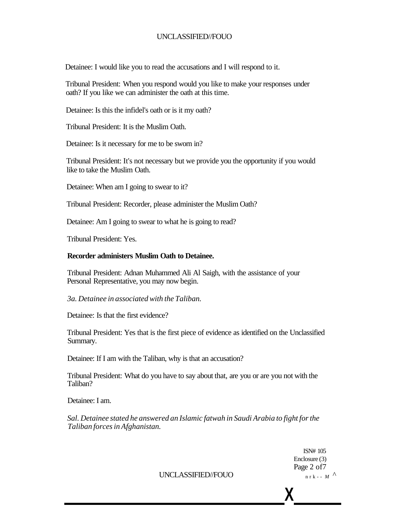Detainee: I would like you to read the accusations and I will respond to it.

Tribunal President: When you respond would you like to make your responses under oath? If you like we can administer the oath at this time.

Detainee: Is this the infidel's oath or is it my oath?

Tribunal President: It is the Muslim Oath.

Detainee: Is it necessary for me to be sworn in?

Tribunal President: It's not necessary but we provide you the opportunity if you would like to take the Muslim Oath.

Detainee: When am I going to swear to it?

Tribunal President: Recorder, please administer the Muslim Oath?

Detainee: Am I going to swear to what he is going to read?

Tribunal President: Yes.

#### **Recorder administers Muslim Oath to Detainee.**

Tribunal President: Adnan Muhammed Ali Al Saigh, with the assistance of your Personal Representative, you may now begin.

*3a. Detainee in associated with the Taliban.* 

Detainee: Is that the first evidence?

Tribunal President: Yes that is the first piece of evidence as identified on the Unclassified Summary.

Detainee: If I am with the Taliban, why is that an accusation?

Tribunal President: What do you have to say about that, are you or are you not with the Taliban?

Detainee: I am.

*Sal. Detainee stated he answered an Islamic fatwah in Saudi Arabia to fight for the Taliban forces in Afghanistan.* 

> ISN# 105 Enclosure (3) Page 2 of7

**X** 

UNCLASSIFIED//FOUO  $n \times k = M$ <sup>^</sup>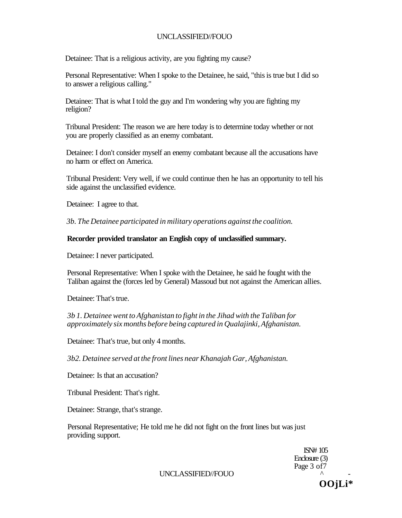Detainee: That is a religious activity, are you fighting my cause?

Personal Representative: When I spoke to the Detainee, he said, "this is true but I did so to answer a religious calling."

Detainee: That is what I told the guy and I'm wondering why you are fighting my religion?

Tribunal President: The reason we are here today is to determine today whether or not you are properly classified as an enemy combatant.

Detainee: I don't consider myself an enemy combatant because all the accusations have no harm or effect on America.

Tribunal President: Very well, if we could continue then he has an opportunity to tell his side against the unclassified evidence.

Detainee: I agree to that.

*3b. The Detainee participated in military operations against the coalition.* 

#### **Recorder provided translator an English copy of unclassified summary.**

Detainee: I never participated.

Personal Representative: When I spoke with the Detainee, he said he fought with the Taliban against the (forces led by General) Massoud but not against the American allies.

Detainee: That's true.

*3b 1. Detainee went to Afghanistan to fight in the Jihad with the Taliban for approximately six months before being captured in Qualajinki, Afghanistan.* 

Detainee: That's true, but only 4 months.

*3b2. Detainee served at the front lines near Khanajah Gar, Afghanistan.* 

Detainee: Is that an accusation?

Tribunal President: That's right.

Detainee: Strange, that's strange.

Personal Representative; He told me he did not fight on the front lines but was just providing support.

> ISN# 105 Enclosure (3) Page 3 of7 **OOjLi\***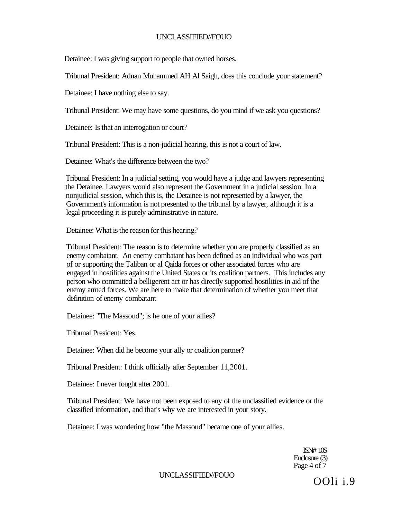Detainee: I was giving support to people that owned horses.

Tribunal President: Adnan Muhammed AH Al Saigh, does this conclude your statement?

Detainee: I have nothing else to say.

Tribunal President: We may have some questions, do you mind if we ask you questions?

Detainee: Is that an interrogation or court?

Tribunal President: This is a non-judicial hearing, this is not a court of law.

Detainee: What's the difference between the two?

Tribunal President: In a judicial setting, you would have a judge and lawyers representing the Detainee. Lawyers would also represent the Government in a judicial session. In a nonjudicial session, which this is, the Detainee is not represented by a lawyer, the Government's information is not presented to the tribunal by a lawyer, although it is a legal proceeding it is purely administrative in nature.

Detainee: What is the reason for this hearing?

Tribunal President: The reason is to determine whether you are properly classified as an enemy combatant. An enemy combatant has been defined as an individual who was part of or supporting the Taliban or al Qaida forces or other associated forces who are engaged in hostilities against the United States or its coalition partners. This includes any person who committed a belligerent act or has directly supported hostilities in aid of the enemy armed forces. We are here to make that determination of whether you meet that definition of enemy combatant

Detainee: "The Massoud"; is he one of your allies?

Tribunal President: Yes.

Detainee: When did he become your ally or coalition partner?

Tribunal President: I think officially after September 11,2001.

Detainee: I never fought after 2001.

Tribunal President: We have not been exposed to any of the unclassified evidence or the classified information, and that's why we are interested in your story.

Detainee: I was wondering how "the Massoud" became one of your allies.

ISN# 10S Enclosure (3) Page 4 of  $\overline{7}$ 

UNCLASSIFIED//FOUO OOLi i.9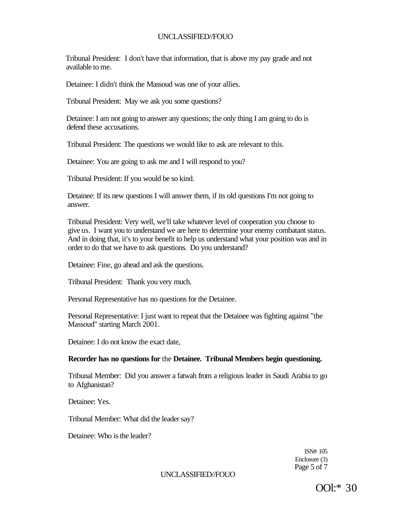Tribunal President: I don't have that information, that is above my pay grade and not available to me.

Detainee: I didn't think the Massoud was one of your allies.

Tribunal President: May we ask you some questions?

Detainee: I am not going to answer any questions; the only thing I am going to do is defend these accusations.

Tribunal President: The questions we would like to ask are relevant to this.

Detainee: You are going to ask me and I will respond to you?

Tribunal President: If you would be so kind.

Detainee: If its new questions I will answer them, if its old questions I'm not going to answer.

Tribunal President: Very well, we'll take whatever level of cooperation you choose to give us. I want you to understand we are here to determine your enemy combatant status. And in doing that, it's to your benefit to help us understand what your position was and in order to do that we have to ask questions. Do you understand?

Detainee: Fine, go ahead and ask the questions.

Tribunal President: Thank you very much.

Personal Representative has no questions for the Detainee.

Personal Representative: I just want to repeat that the Detainee was fighting against "the Massoud" starting March 2001.

Detainee: I do not know the exact date,

# **Recorder has no questions for** the **Detainee. Tribunal Members begin questioning.**

Tribunal Member: Did you answer a fatwah from a religious leader in Saudi Arabia to go to Afghanistan?

Detainee: Yes.

Tribunal Member: What did the leader say?

Detainee: Who is the leader?

ISN# 105 Enclosure (3) Page 5 of 7

# UNCLASSIFIED//FOUO

OOl:\* 30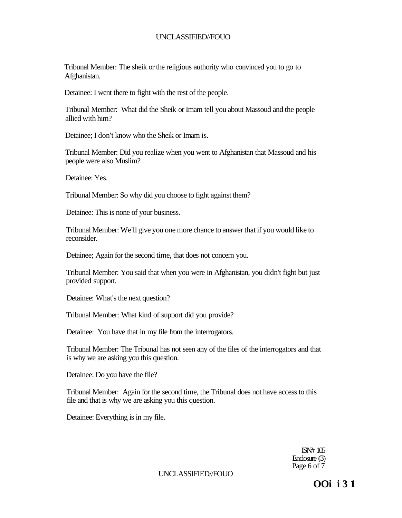Tribunal Member: The sheik or the religious authority who convinced you to go to Afghanistan.

Detainee: I went there to fight with the rest of the people.

Tribunal Member: What did the Sheik or Imam tell you about Massoud and the people allied with him?

Detainee; I don't know who the Sheik or Imam is.

Tribunal Member: Did you realize when you went to Afghanistan that Massoud and his people were also Muslim?

Detainee: Yes.

Tribunal Member: So why did you choose to fight against them?

Detainee: This is none of your business.

Tribunal Member: We'll give you one more chance to answer that if you would like to reconsider.

Detainee; Again for the second time, that does not concern you.

Tribunal Member: You said that when you were in Afghanistan, you didn't fight but just provided support.

Detainee: What's the next question?

Tribunal Member: What kind of support did you provide?

Detainee: You have that in my file from the interrogators.

Tribunal Member: The Tribunal has not seen any of the files of the interrogators and that is why we are asking you this question.

Detainee: Do you have the file?

Tribunal Member: Again for the second time, the Tribunal does not have access to this file and that is why we are asking you this question.

Detainee: Everything is in my file.

ISN# 105 Enclosure (3) Page 6 of 7

UNCLASSIFIED//FOUO

**OOi i3 1**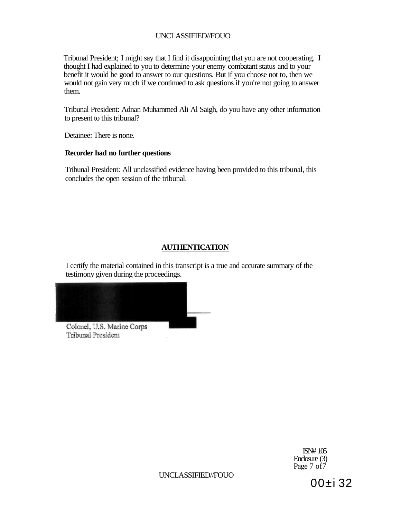Tribunal President; I might say that I find it disappointing that you are not cooperating. I thought I had explained to you to determine your enemy combatant status and to your benefit it would be good to answer to our questions. But if you choose not to, then we would not gain very much if we continued to ask questions if you're not going to answer them.

Tribunal President: Adnan Muhammed Ali Al Saigh, do you have any other information to present to this tribunal?

Detainee: There is none.

#### **Recorder had no further questions**

Tribunal President: All unclassified evidence having been provided to this tribunal, this concludes the open session of the tribunal.

# **AUTHENTICATION**

I certify the material contained in this transcript is a true and accurate summary of the testimony given during the proceedings.



Tribunal President

ISN# 105 Enclosure (3) Page 7 of 7

UNCLASSIFIED//FOUO

00±i 32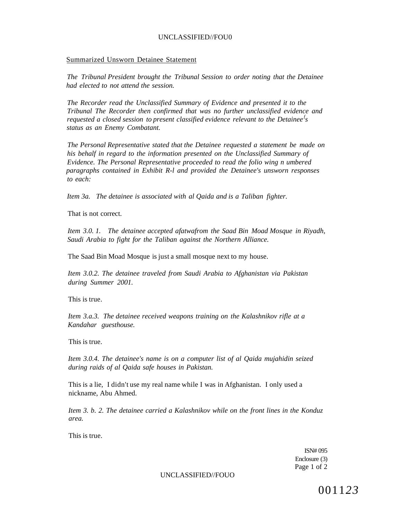#### Summarized Unsworn Detainee Statement

*The Tribunal President brought the Tribunal Session to order noting that the Detainee had elected to not attend the session.* 

*The Recorder read the Unclassified Summary of Evidence and presented it to the Tribunal The Recorder then confirmed that was no further unclassified evidence and requested a closed session to present classified evidence relevant to the Detainee*<sup>*f</sup>s*</sup> *status as an Enemy Combatant.* 

*The Personal Representative stated that the Detainee requested a statement be made on his behalf in regard to the information presented on the Unclassified Summary of Evidence. The Personal Representative proceeded to read the folio wing n umbered paragraphs contained in Exhibit R-l and provided the Detainee's unsworn responses to each:* 

*Item 3a. The detainee is associated with al Qaida and is a Taliban fighter.* 

That is not correct.

*Item 3.0. 1. The detainee accepted afatwafrom the Saad Bin Moad Mosque in Riyadh, Saudi Arabia to fight for the Taliban against the Northern Alliance.* 

The Saad Bin Moad Mosque is just a small mosque next to my house.

*Item 3.0.2. The detainee traveled from Saudi Arabia to Afghanistan via Pakistan during Summer 2001.* 

This is true.

*Item 3.a.3. The detainee received weapons training on the Kalashnikov rifle at a Kandahar guesthouse.* 

This is true.

*Item 3.0.4. The detainee's name is on a computer list of al Qaida mujahidin seized during raids of al Qaida safe houses in Pakistan.* 

This is a lie, I didn't use my real name while I was in Afghanistan. I only used a nickname, Abu Ahmed.

*Item 3. b. 2. The detainee carried a Kalashnikov while on the front lines in the Konduz area.* 

This is true.

ISN# 095 Enclosure (3) Page 1 of 2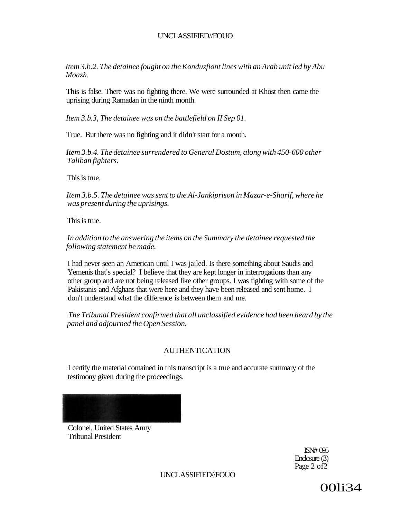*Item 3.b.2. The detainee fought on the Konduzfiont lines with an Arab unit led by Abu Moazh.* 

This is false. There was no fighting there. We were surrounded at Khost then came the uprising during Ramadan in the ninth month.

*Item 3.b.3, The detainee was on the battlefield on II Sep 01.* 

True. But there was no fighting and it didn't start for a month.

*Item 3.b.4. The detainee surrendered to General Dostum, along with 450-600 other Taliban fighters.* 

This is true.

*Item 3.b.5. The detainee was sent to the Al-Jankiprison in Mazar-e-Sharif, where he was present during the uprisings.* 

This is true.

*In addition to the answering the items on the Summary the detainee requested the following statement be made.* 

I had never seen an American until I was jailed. Is there something about Saudis and Yemenis that's special? I believe that they are kept longer in interrogations than any other group and are not being released like other groups. I was fighting with some of the Pakistanis and Afghans that were here and they have been released and sent home. I don't understand what the difference is between them and me.

*The Tribunal President confirmed that all unclassified evidence had been heard by the panel and adjourned the Open Session.* 

# AUTHENTICATION

I certify the material contained in this transcript is a true and accurate summary of the testimony given during the proceedings.



Colonel, United States Army Tribunal President

> ISN# 095 Enclosure (3) Page 2 of2

UNCLASSIFIED//FOUO

00li34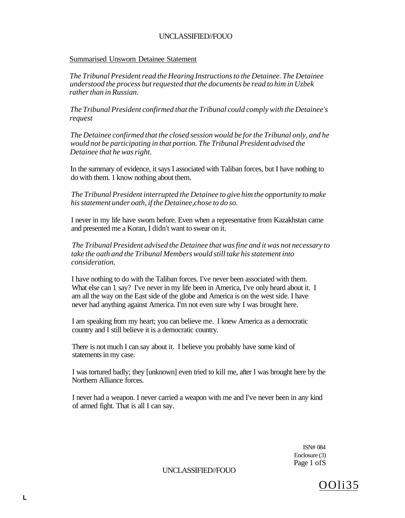# Summarised Unsworn Detainee Statement

*The Tribunal President read the Hearing Instructions to the Detainee. The Detainee understood the process but requested that the documents be read to him in Uzbek rather than in Russian.* 

*The Tribunal President confirmed that the Tribunal could comply with the Detainee's request* 

*The Detainee confirmed that the closed session would be for the Tribunal only, and he would not be participating in that portion. The Tribunal President advised the Detainee that he was right.* 

In the summary of evidence, it says I associated with Taliban forces, but I have nothing to do with them. 1 know nothing about them.

*The Tribunal President interrupted the Detainee to give him the opportunity to make his statement under oath, if the Detainee,chose to do so.* 

I never in my life have sworn before. Even when a representative from Kazakhstan came and presented me a Koran, I didn't want to swear on it.

*The Tribunal President advised the Detainee that was fine and it was not necessary to take the oath and the Tribunal Members would still take his statement into consideration.* 

I have nothing to do with the Taliban forces. I've never been associated with them. What else can 1 say? I've never in my life been in America, I've only heard about it. I am all the way on the East side of the globe and America is on the west side. I have never had anything against America. I'm not even sure why I was brought here.

I am speaking from my heart; you can believe me. I knew America as a democratic country and I still believe it is a democratic country.

There is not much I can say about it. I believe you probably have some kind of statements in my case.

I was tortured badly; they [unknown] even tried to kill me, after I was brought here by the Northern Alliance forces.

I never had a weapon. I never carried a weapon with me and I've never been in any kind of armed fight. That is all I can say.

> ISN# 084 Enclosure (3) Page 1 ofS

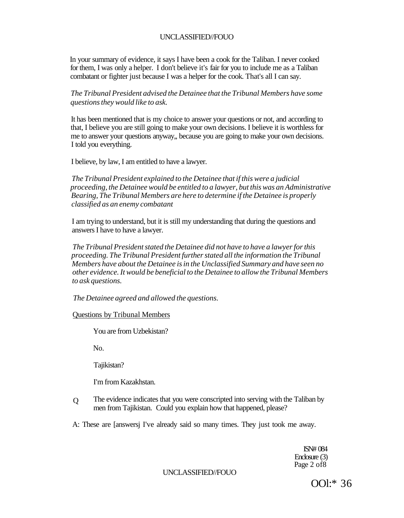In your summary of evidence, it says I have been a cook for the Taliban. I never cooked for them, I was only a helper. I don't believe it's fair for you to include me as a Taliban combatant or fighter just because I was a helper for the cook. That's all I can say.

*The Tribunal President advised the Detainee that the Tribunal Members have some questions they would like to ask.* 

It has been mentioned that is my choice to answer your questions or not, and according to that, I believe you are still going to make your own decisions. I believe it is worthless for me to answer your questions anyway,, because you are going to make your own decisions. I told you everything.

I believe, by law, I am entitled to have a lawyer.

*The Tribunal President explained to the Detainee that if this were a judicial proceeding, the Detainee would be entitled to a lawyer, but this was an Administrative Bearing, The Tribunal Members are here to determine if the Detainee is properly classified as an enemy combatant* 

I am trying to understand, but it is still my understanding that during the questions and answers I have to have a lawyer.

*The Tribunal President stated the Detainee did not have to have a lawyer for this proceeding. The Tribunal President further stated all the information the Tribunal Members have about the Detainee is in the Unclassified Summary and have seen no other evidence. It would be beneficial to the Detainee to allow the Tribunal Members to ask questions.* 

*The Detainee agreed and allowed the questions.* 

Questions by Tribunal Members

You are from Uzbekistan?

No.

Tajikistan?

I'm from Kazakhstan.

Q The evidence indicates that you were conscripted into serving with the Taliban by men from Tajikistan. Could you explain how that happened, please?

A: These are [answersj I've already said so many times. They just took me away.

ISN# 084 Enclosure (3) Page 2 of8

UNCLASSIFIED//FOUO

OOl:\* 36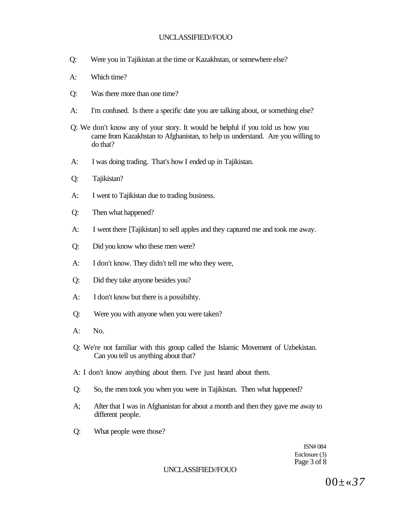- Q: Were you in Tajikistan at the time or Kazakhstan, or somewhere else?
- A: Which time?
- Q: Was there more than one time?
- A: I'm confused. Is there a specific date you are talking about, or something else?
- Q: We don't know any of your story. It would be helpful if you told us how you came from Kazakhstan to Afghanistan, to help us understand. Are you willing to do that?
- A: I was doing trading. That's how I ended up in Tajikistan.
- Q: Tajikistan?
- A: I went to Tajikistan due to trading business.
- Q: Then what happened?
- A: I went there [Tajikistan] to sell apples and they captured me and took me away.
- Q: Did you know who these men were?
- A: I don't know. They didn't tell me who they were,
- Q: Did they take anyone besides you?
- A: I don't know but there is a possibihty.
- Q: Were you with anyone when you were taken?
- A: No.
- Q: We're not familiar with this group called the Islamic Movement of Uzbekistan. Can you tell us anything about that?
- A: I don't know anything about them. I've just heard about them.
- Q: So, the men took you when you were in Tajikistan. Then what happened?
- A; After that I was in Afghanistan for about a month and then they gave me away to different people.
- Q: What people were those?

ISN# 084 Enclosure (3) Page 3 of 8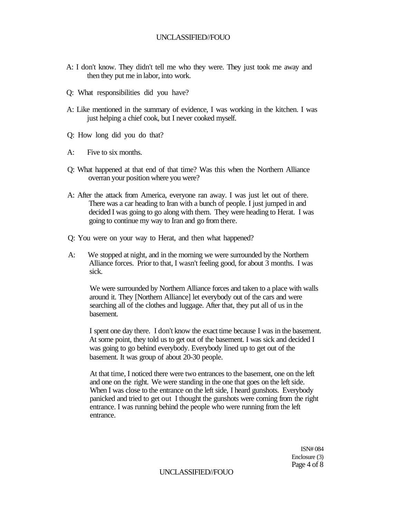- A: I don't know. They didn't tell me who they were. They just took me away and then they put me in labor, into work.
- Q: What responsibilities did you have?
- A: Like mentioned in the summary of evidence, I was working in the kitchen. I was just helping a chief cook, but I never cooked myself.
- Q: How long did you do that?
- A: Five to six months.
- Q: What happened at that end of that time? Was this when the Northern Alliance overran your position where you were?
- A: After the attack from America, everyone ran away. I was just let out of there. There was a car heading to Iran with a bunch of people. I just jumped in and decided I was going to go along with them. They were heading to Herat. I was going to continue my way to Iran and go from there.
- Q: You were on your way to Herat, and then what happened?
- A: We stopped at night, and in the morning we were surrounded by the Northern Alliance forces. Prior to that, I wasn't feeling good, for about 3 months. I was sick.

We were surrounded by Northern Alliance forces and taken to a place with walls around it. They [Northern Alliance] let everybody out of the cars and were searching all of the clothes and luggage. After that, they put all of us in the basement.

I spent one day there. I don't know the exact time because I was in the basement. At some point, they told us to get out of the basement. I was sick and decided I was going to go behind everybody. Everybody lined up to get out of the basement. It was group of about 20-30 people.

At that time, I noticed there were two entrances to the basement, one on the left and one on the right. We were standing in the one that goes on the left side. When I was close to the entrance on the left side, I heard gunshots. Everybody panicked and tried to get out I thought the gunshots were coming from the right entrance. I was running behind the people who were running from the left entrance.

> ISN# 084 Enclosure (3) Page 4 of 8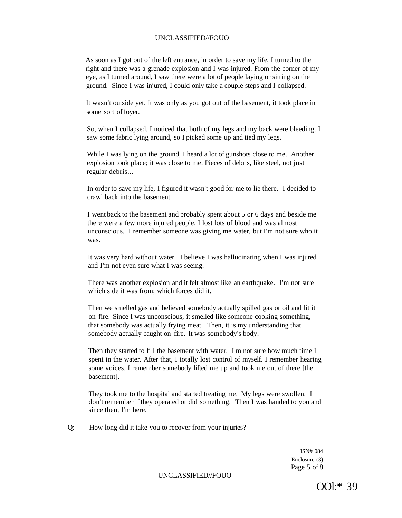As soon as I got out of the left entrance, in order to save my life, I turned to the right and there was a grenade explosion and I was injured. From the corner of my eye, as I turned around, I saw there were a lot of people laying or sitting on the ground. Since I was injured, I could only take a couple steps and I collapsed.

It wasn't outside yet. It was only as you got out of the basement, it took place in some sort of foyer.

So, when I collapsed, I noticed that both of my legs and my back were bleeding. I saw some fabric lying around, so I picked some up and tied my legs.

While I was lying on the ground, I heard a lot of gunshots close to me. Another explosion took place; it was close to me. Pieces of debris, like steel, not just regular debris...

In order to save my life, I figured it wasn't good for me to lie there. I decided to crawl back into the basement.

I went back to the basement and probably spent about 5 or 6 days and beside me there were a few more injured people. I lost lots of blood and was almost unconscious. I remember someone was giving me water, but I'm not sure who it was.

It was very hard without water. I believe I was hallucinating when I was injured and I'm not even sure what I was seeing.

There was another explosion and it felt almost like an earthquake. I'm not sure which side it was from; which forces did it.

Then we smelled gas and believed somebody actually spilled gas or oil and lit it on fire. Since I was unconscious, it smelled like someone cooking something, that somebody was actually frying meat. Then, it is my understanding that somebody actually caught on fire. It was somebody's body.

Then they started to fill the basement with water. I'm not sure how much time I spent in the water. After that, I totally lost control of myself. I remember hearing some voices. I remember somebody lifted me up and took me out of there [the basement].

They took me to the hospital and started treating me. My legs were swollen. I don't remember if they operated or did something. Then I was handed to you and since then, I'm here.

Q: How long did it take you to recover from your injuries?

ISN# 084 Enclosure (3) Page 5 of 8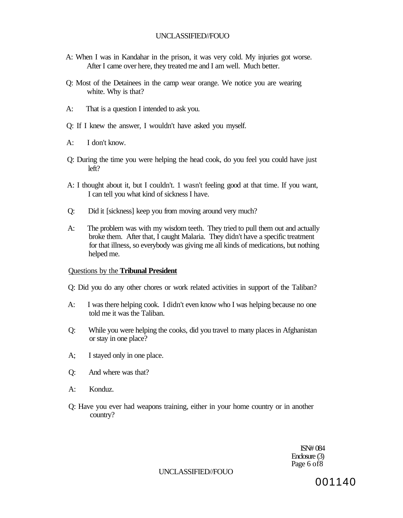- A: When I was in Kandahar in the prison, it was very cold. My injuries got worse. After I came over here, they treated me and I am well. Much better.
- Q: Most of the Detainees in the camp wear orange. We notice you are wearing white. Why is that?
- A: That is a question I intended to ask you.
- Q: If I knew the answer, I wouldn't have asked you myself.
- A: I don't know.
- Q: During the time you were helping the head cook, do you feel you could have just left?
- A: I thought about it, but I couldn't. 1 wasn't feeling good at that time. If you want, I can tell you what kind of sickness I have.
- Q: Did it [sickness] keep you from moving around very much?
- A: The problem was with my wisdom teeth. They tried to pull them out and actually broke them. After that, I caught Malaria. They didn't have a specific treatment for that illness, so everybody was giving me all kinds of medications, but nothing helped me.

# Questions by the **Tribunal President**

Q: Did you do any other chores or work related activities in support of the Taliban?

- A: I was there helping cook. I didn't even know who I was helping because no one told me it was the Taliban.
- Q: While you were helping the cooks, did you travel to many places in Afghanistan or stay in one place?
- A; I stayed only in one place.
- Q: And where was that?
- A: Konduz.
- Q: Have you ever had weapons training, either in your home country or in another country?

ISN# 084 Enclosure (3) Page 6 of 8

#### UNCLASSIFIED//FOUO

001140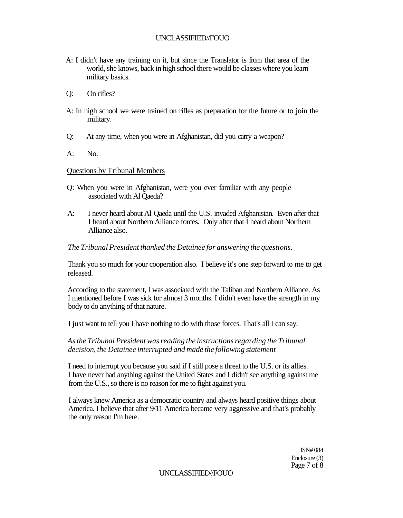- A: I didn't have any training on it, but since the Translator is from that area of the world, she knows, back in high school there would be classes where you learn military basics.
- Q: On rifles?
- A: In high school we were trained on rifles as preparation for the future or to join the military.
- Q: At any time, when you were in Afghanistan, did you carry a weapon?
- $A: N<sub>0</sub>$

#### Questions by Tribunal Members

- Q: When you were in Afghanistan, were you ever familiar with any people associated with Al Qaeda?
- A: I never heard about Al Qaeda until the U.S. invaded Afghanistan. Even after that I heard about Northern Alliance forces. Only after that I heard about Northern Alliance also.

#### *The Tribunal President thanked the Detainee for answering the questions.*

Thank you so much for your cooperation also. I believe it's one step forward to me to get released.

According to the statement, I was associated with the Taliban and Northern Alliance. As I mentioned before I was sick for almost 3 months. I didn't even have the strength in my body to do anything of that nature.

I just want to tell you I have nothing to do with those forces. That's all I can say.

*As the Tribunal President was reading the instructions regarding the Tribunal decision, the Detainee interrupted and made the following statement* 

I need to interrupt you because you said if I still pose a threat to the U.S. or its allies. I have never had anything against the United States and I didn't see anything against me from the U.S., so there is no reason for me to fight against you.

I always knew America as a democratic country and always heard positive things about America. I believe that after 9/11 America became very aggressive and that's probably the only reason I'm here.

> ISN# 084 Enclosure (3) Page 7 of 8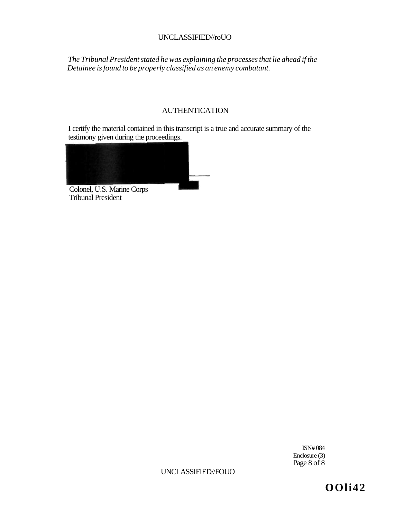# UNCLASSIFIED//roUO

*The Tribunal President stated he was explaining the processes that lie ahead if the Detainee is found to be properly classified as an enemy combatant.* 

# AUTHENTICATION

I certify the material contained in this transcript is a true and accurate summary of the testimony given during the proceedings.



Colonel, U.S. Marine Corps Tribunal President

> ISN# 084 Enclosure (3) Page 8 of 8

UNCLASSIFIED//FOUO

**OOli42**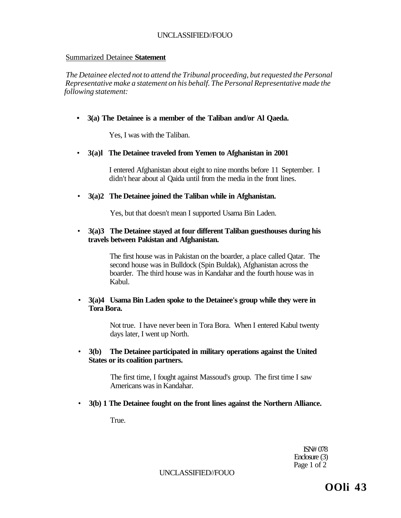# Summarized Detainee **Statement**

*The Detainee elected not to attend the Tribunal proceeding, but requested the Personal Representative make a statement on his behalf. The Personal Representative made the following statement:* 

# **• 3(a) The Detainee is a member of the Taliban and/or Al Qaeda.**

Yes, I was with the Taliban.

# • **3(a)l The Detainee traveled from Yemen to Afghanistan in 2001**

I entered Afghanistan about eight to nine months before 11 September. I didn't hear about al Qaida until from the media in the front lines.

# • **3(a)2 The Detainee joined the Taliban while in Afghanistan.**

Yes, but that doesn't mean I supported Usama Bin Laden.

# • **3(a)3 The Detainee stayed at four different Taliban guesthouses during his travels between Pakistan and Afghanistan.**

The first house was in Pakistan on the boarder, a place called Qatar. The second house was in Bulldock (Spin Buldak), Afghanistan across the boarder. The third house was in Kandahar and the fourth house was in Kabul.

# • **3(a)4 Usama Bin Laden spoke to the Detainee's group while they were in Tora Bora.**

Not true. I have never been in Tora Bora. When I entered Kabul twenty days later, I went up North.

# • **3(b) The Detainee participated in military operations against the United States or its coalition partners.**

The first time, I fought against Massoud's group. The first time I saw Americans was in Kandahar.

# • **3(b) 1 The Detainee fought on the front lines against the Northern Alliance.**

True.

ISN# 078 Enclosure (3) Page 1 of 2

# UNCLASSIFIED//FOUO

**OOli 43**